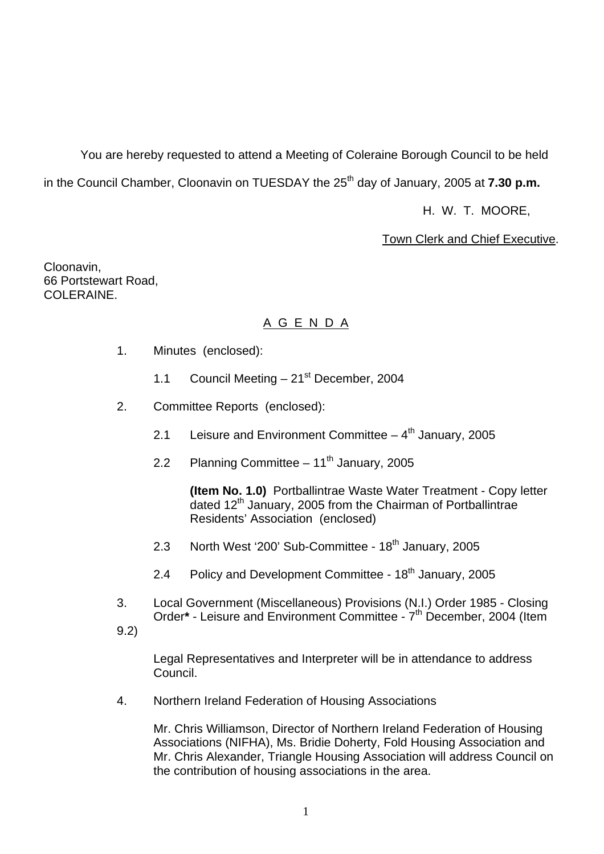You are hereby requested to attend a Meeting of Coleraine Borough Council to be held in the Council Chamber, Cloonavin on TUESDAY the 25<sup>th</sup> day of January, 2005 at **7.30 p.m.** 

H. W. T. MOORE,

Town Clerk and Chief Executive.

Cloonavin, 66 Portstewart Road, COLERAINE.

# A G E N D A

- 1. Minutes (enclosed):
	- 1.1 Council Meeting  $-21^{st}$  December, 2004
- 2. Committee Reports (enclosed):
	- 2.1 Leisure and Environment Committee  $-4<sup>th</sup>$  January, 2005
	- 2.2 Planning Committee  $-11^{th}$  January, 2005

 **(Item No. 1.0)** Portballintrae Waste Water Treatment - Copy letter dated  $12<sup>th</sup>$  January, 2005 from the Chairman of Portballintrae Residents' Association (enclosed)

- 2.3 North West '200' Sub-Committee 18<sup>th</sup> January, 2005
- 2.4 Policy and Development Committee 18<sup>th</sup> January, 2005
- 3. Local Government (Miscellaneous) Provisions (N.I.) Order 1985 Closing Order<sup>\*</sup> - Leisure and Environment Committee - 7<sup>th</sup> December, 2004 (Item
- 9.2)

Legal Representatives and Interpreter will be in attendance to address Council.

4. Northern Ireland Federation of Housing Associations

 Mr. Chris Williamson, Director of Northern Ireland Federation of Housing Associations (NIFHA), Ms. Bridie Doherty, Fold Housing Association and Mr. Chris Alexander, Triangle Housing Association will address Council on the contribution of housing associations in the area.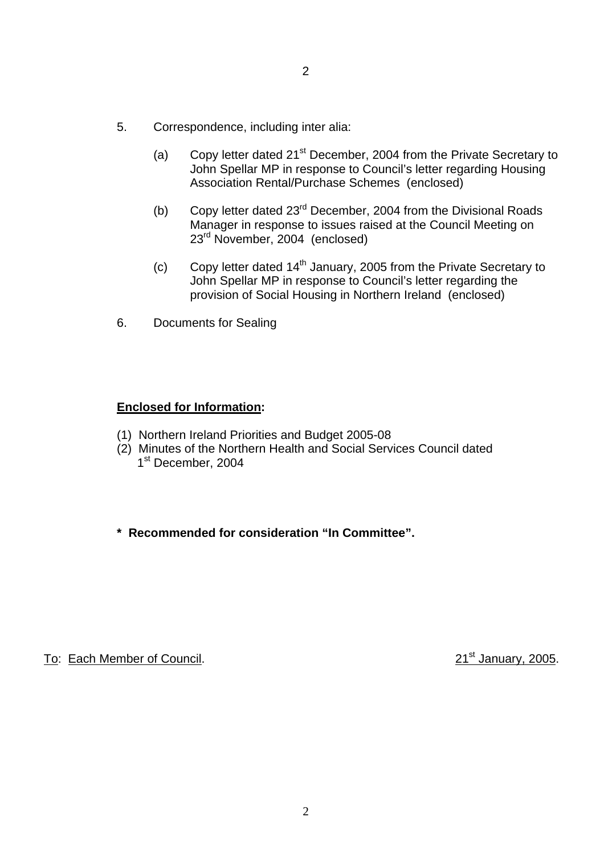- 5. Correspondence, including inter alia:
	- (a) Copy letter dated  $21^{st}$  December, 2004 from the Private Secretary to John Spellar MP in response to Council's letter regarding Housing Association Rental/Purchase Schemes (enclosed)
	- (b) Copy letter dated 23<sup>rd</sup> December, 2004 from the Divisional Roads Manager in response to issues raised at the Council Meeting on 23rd November, 2004 (enclosed)
	- (c) Copy letter dated  $14<sup>th</sup>$  January, 2005 from the Private Secretary to John Spellar MP in response to Council's letter regarding the provision of Social Housing in Northern Ireland (enclosed)
- 6. Documents for Sealing

# **Enclosed for Information:**

- (1) Northern Ireland Priorities and Budget 2005-08
- (2) Minutes of the Northern Health and Social Services Council dated 1<sup>st</sup> December, 2004
- **\* Recommended for consideration "In Committee".**

To: Each Member of Council. 2005.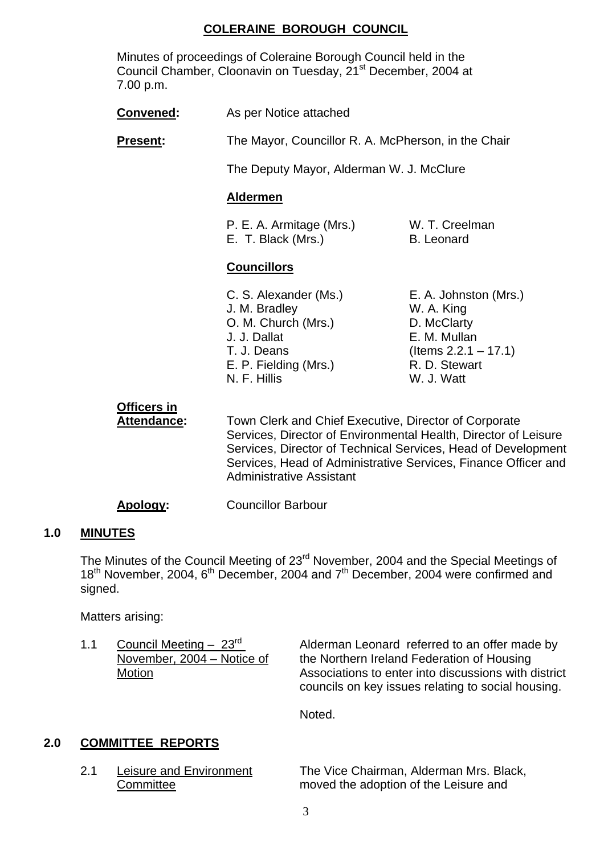# **COLERAINE BOROUGH COUNCIL**

Minutes of proceedings of Coleraine Borough Council held in the Council Chamber, Cloonavin on Tuesday, 21<sup>st</sup> December, 2004 at 7.00 p.m.

| <b>Convened:</b>                         | As per Notice attached                                                                                                                |                                                                                                                              |  |
|------------------------------------------|---------------------------------------------------------------------------------------------------------------------------------------|------------------------------------------------------------------------------------------------------------------------------|--|
| <b>Present:</b>                          | The Mayor, Councillor R. A. McPherson, in the Chair                                                                                   |                                                                                                                              |  |
|                                          | The Deputy Mayor, Alderman W. J. McClure                                                                                              |                                                                                                                              |  |
|                                          | <b>Aldermen</b>                                                                                                                       |                                                                                                                              |  |
|                                          | P. E. A. Armitage (Mrs.)<br>E. T. Black (Mrs.)                                                                                        | W. T. Creelman<br><b>B.</b> Leonard                                                                                          |  |
|                                          | <b>Councillors</b>                                                                                                                    |                                                                                                                              |  |
|                                          | C. S. Alexander (Ms.)<br>J. M. Bradley<br>O. M. Church (Mrs.)<br>J. J. Dallat<br>T. J. Deans<br>E. P. Fielding (Mrs.)<br>N. F. Hillis | E. A. Johnston (Mrs.)<br>W. A. King<br>D. McClarty<br>E. M. Mullan<br>(Items $2.2.1 - 17.1$ )<br>R. D. Stewart<br>W. J. Watt |  |
| <b>Officers in</b><br><b>Attendance:</b> | Town Clerk and Chief Executive, Director of Corporate<br>Company Duceton of Furnishmental Health Duceton of Lot                       |                                                                                                                              |  |

Services, Director of Environmental Health, Director of Leisure Services, Director of Technical Services, Head of Development Services, Head of Administrative Services, Finance Officer and Administrative Assistant

**Apology:** Councillor Barbour

#### **1.0 MINUTES**

The Minutes of the Council Meeting of 23<sup>rd</sup> November, 2004 and the Special Meetings of  $18<sup>th</sup>$  November, 2004,  $6<sup>th</sup>$  December, 2004 and  $7<sup>th</sup>$  December, 2004 were confirmed and signed.

Matters arising:

1.1 Council Meeting –  $23<sup>rd</sup>$  Alderman Leonard referred to an offer made by November, 2004 – Notice of the Northern Ireland Federation of Housing Motion Motion Associations to enter into discussions with district councils on key issues relating to social housing.

Noted.

# **2.0 COMMITTEE REPORTS**

 2.1 Leisure and Environment The Vice Chairman, Alderman Mrs. Black, Committee moved the adoption of the Leisure and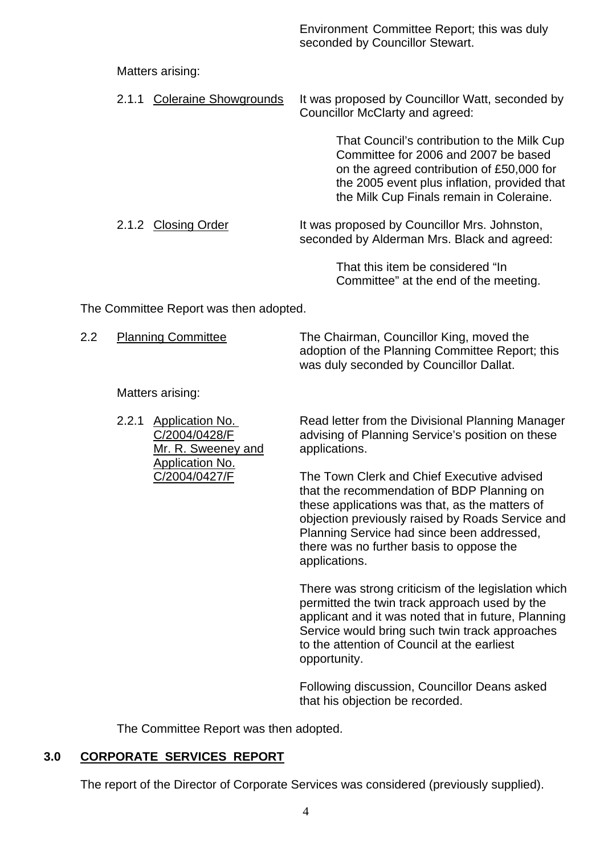Environment Committee Report; this was duly seconded by Councillor Stewart.

## Matters arising:

|  | 2.1.1 Coleraine Showgrounds It was proposed by Councillor Watt, seconded by |
|--|-----------------------------------------------------------------------------|
|  | Councillor McClarty and agreed:                                             |

 That Council's contribution to the Milk Cup Committee for 2006 and 2007 be based on the agreed contribution of £50,000 for the 2005 event plus inflation, provided that the Milk Cup Finals remain in Coleraine.

2.1.2 Closing Order It was proposed by Councillor Mrs. Johnston, seconded by Alderman Mrs. Black and agreed:

> That this item be considered "In Committee" at the end of the meeting.

The Committee Report was then adopted.

| <b>Planning Committee</b> | The Chairman, Councillor King, moved the        |
|---------------------------|-------------------------------------------------|
|                           | adoption of the Planning Committee Report; this |
|                           | was duly seconded by Councillor Dallat.         |

Matters arising:

Mr. R. Sweeney and applications. Application No.

2.2.1 Application No. Read letter from the Divisional Planning Manager C/2004/0428/F advising of Planning Service's position on these

C/2004/0427/F The Town Clerk and Chief Executive advised that the recommendation of BDP Planning on these applications was that, as the matters of objection previously raised by Roads Service and Planning Service had since been addressed, there was no further basis to oppose the applications.

> There was strong criticism of the legislation which permitted the twin track approach used by the applicant and it was noted that in future, Planning Service would bring such twin track approaches to the attention of Council at the earliest opportunity.

Following discussion, Councillor Deans asked that his objection be recorded.

The Committee Report was then adopted.

# **3.0 CORPORATE SERVICES REPORT**

The report of the Director of Corporate Services was considered (previously supplied).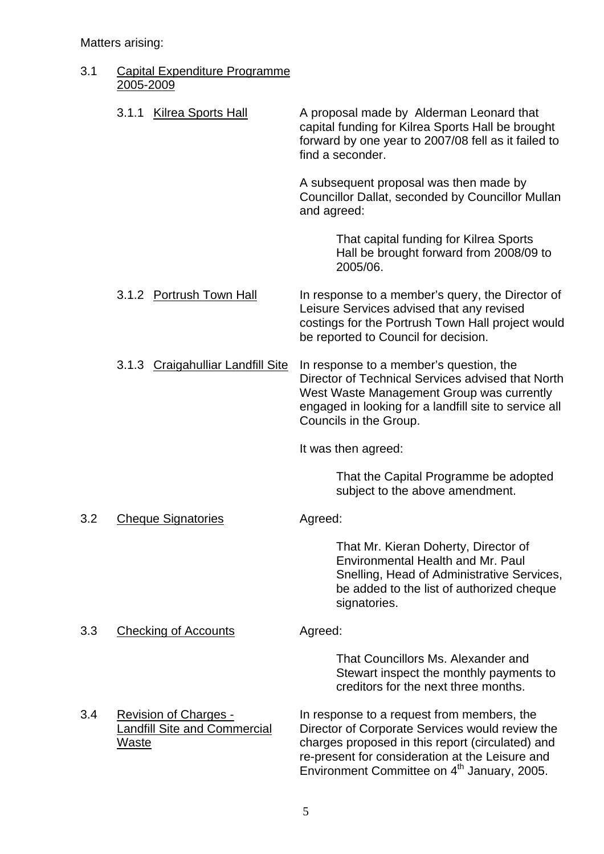# Matters arising:

| Capital Expenditure Programme |
|-------------------------------|
| 2005-2009                     |

|     | <b>Kilrea Sports Hall</b><br>3.1.1                                                  | A proposal made by Alderman Leonard that<br>capital funding for Kilrea Sports Hall be brought<br>forward by one year to 2007/08 fell as it failed to<br>find a seconder.                                                                                        |
|-----|-------------------------------------------------------------------------------------|-----------------------------------------------------------------------------------------------------------------------------------------------------------------------------------------------------------------------------------------------------------------|
|     |                                                                                     | A subsequent proposal was then made by<br>Councillor Dallat, seconded by Councillor Mullan<br>and agreed:                                                                                                                                                       |
|     |                                                                                     | That capital funding for Kilrea Sports<br>Hall be brought forward from 2008/09 to<br>2005/06.                                                                                                                                                                   |
|     | 3.1.2 Portrush Town Hall                                                            | In response to a member's query, the Director of<br>Leisure Services advised that any revised<br>costings for the Portrush Town Hall project would<br>be reported to Council for decision.                                                                      |
|     | 3.1.3 Craigahulliar Landfill Site                                                   | In response to a member's question, the<br>Director of Technical Services advised that North<br>West Waste Management Group was currently<br>engaged in looking for a landfill site to service all<br>Councils in the Group.                                    |
|     |                                                                                     | It was then agreed:                                                                                                                                                                                                                                             |
|     |                                                                                     | That the Capital Programme be adopted<br>subject to the above amendment.                                                                                                                                                                                        |
| 3.2 | <b>Cheque Signatories</b>                                                           | Agreed:                                                                                                                                                                                                                                                         |
|     |                                                                                     | That Mr. Kieran Doherty, Director of<br>Environmental Health and Mr. Paul<br>Snelling, Head of Administrative Services,<br>be added to the list of authorized cheque<br>signatories.                                                                            |
| 3.3 | <b>Checking of Accounts</b>                                                         | Agreed:                                                                                                                                                                                                                                                         |
|     |                                                                                     | That Councillors Ms. Alexander and<br>Stewart inspect the monthly payments to<br>creditors for the next three months.                                                                                                                                           |
| 3.4 | <b>Revision of Charges -</b><br><b>Landfill Site and Commercial</b><br><u>Waste</u> | In response to a request from members, the<br>Director of Corporate Services would review the<br>charges proposed in this report (circulated) and<br>re-present for consideration at the Leisure and<br>Environment Committee on 4 <sup>th</sup> January, 2005. |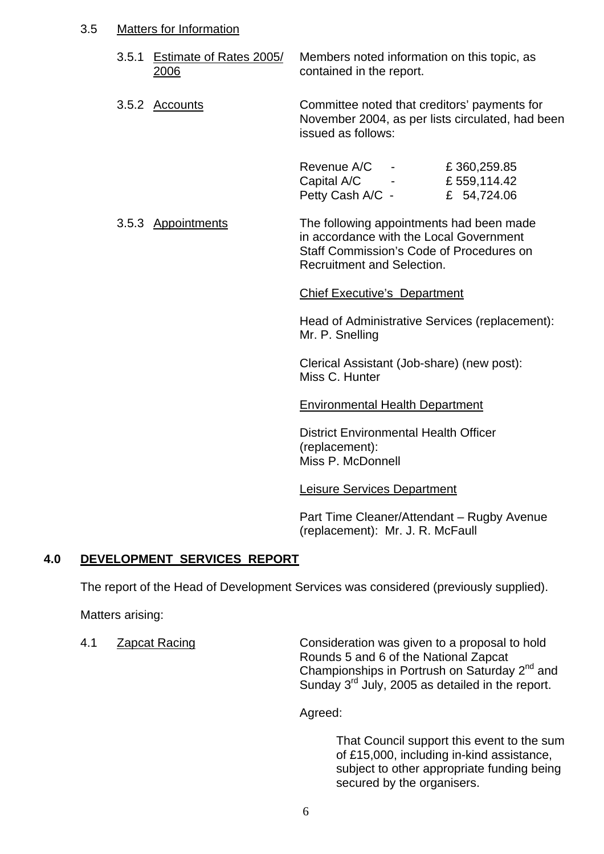## 3.5 Matters for Information

- 3.5.1 Estimate of Rates 2005/ Members noted information on this topic, as 2006 contained in the report.
- 3.5.2 Accounts Committee noted that creditors' payments for November 2004, as per lists circulated, had been issued as follows:

| Revenue A/C      |               | £360,259.85  |
|------------------|---------------|--------------|
| Capital A/C      | $\sim$ $\sim$ | £ 559,114.42 |
| Petty Cash A/C - |               | £ 54,724.06  |

 3.5.3 Appointments The following appointments had been made in accordance with the Local Government Staff Commission's Code of Procedures on Recruitment and Selection.

#### Chief Executive's Department

Head of Administrative Services (replacement): Mr. P. Snelling

Clerical Assistant (Job-share) (new post): Miss C. Hunter

#### Environmental Health Department

 District Environmental Health Officer (replacement): Miss P. McDonnell

#### Leisure Services Department

 Part Time Cleaner/Attendant – Rugby Avenue (replacement): Mr. J. R. McFaull

# **4.0 DEVELOPMENT SERVICES REPORT**

The report of the Head of Development Services was considered (previously supplied).

Matters arising:

 4.1 Zapcat Racing Consideration was given to a proposal to hold Rounds 5 and 6 of the National Zapcat Championships in Portrush on Saturday 2<sup>nd</sup> and Sunday 3<sup>rd</sup> July, 2005 as detailed in the report.

Agreed:

 That Council support this event to the sum of £15,000, including in-kind assistance, subject to other appropriate funding being secured by the organisers.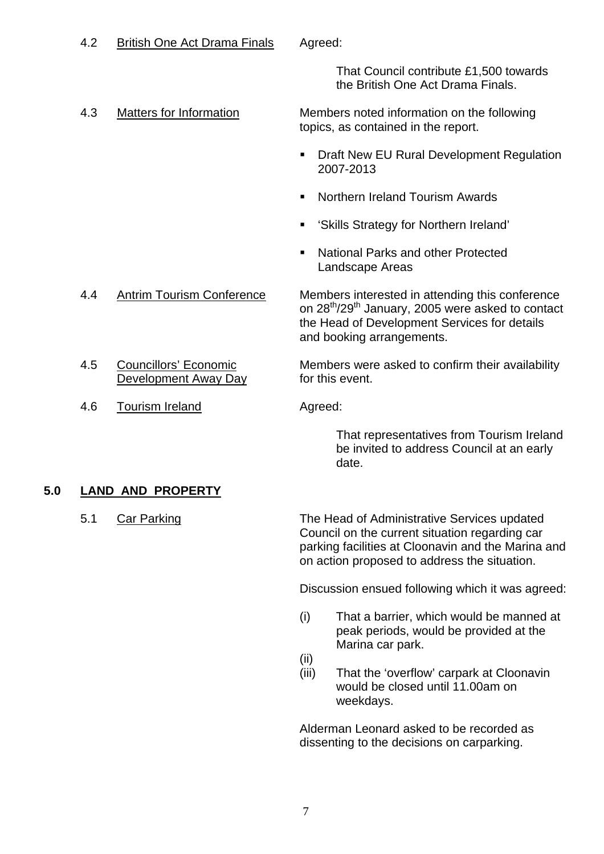# 4.2 British One Act Drama Finals Agreed:

 That Council contribute £1,500 towards the British One Act Drama Finals.

 4.3 Matters for Information Members noted information on the following topics, as contained in the report.

- **Draft New EU Rural Development Regulation** 2007-2013
- **Northern Ireland Tourism Awards**
- 'Skills Strategy for Northern Ireland'
- National Parks and other Protected Landscape Areas

 4.4 Antrim Tourism Conference Members interested in attending this conference on 28<sup>th</sup>/29<sup>th</sup> January, 2005 were asked to contact the Head of Development Services for details and booking arrangements.

4.5 Councillors' Economic Members were asked to confirm their availability Development Away Day for this event.

4.6 Tourism Ireland **Agreed:** 

 That representatives from Tourism Ireland be invited to address Council at an early date.

#### **5.0 LAND AND PROPERTY**

5.1 Car Parking The Head of Administrative Services updated Council on the current situation regarding car parking facilities at Cloonavin and the Marina and on action proposed to address the situation.

Discussion ensued following which it was agreed:

- (i) That a barrier, which would be manned at peak periods, would be provided at the Marina car park.
- (ii)
- (iii) That the 'overflow' carpark at Cloonavin would be closed until 11.00am on weekdays.

Alderman Leonard asked to be recorded as dissenting to the decisions on carparking.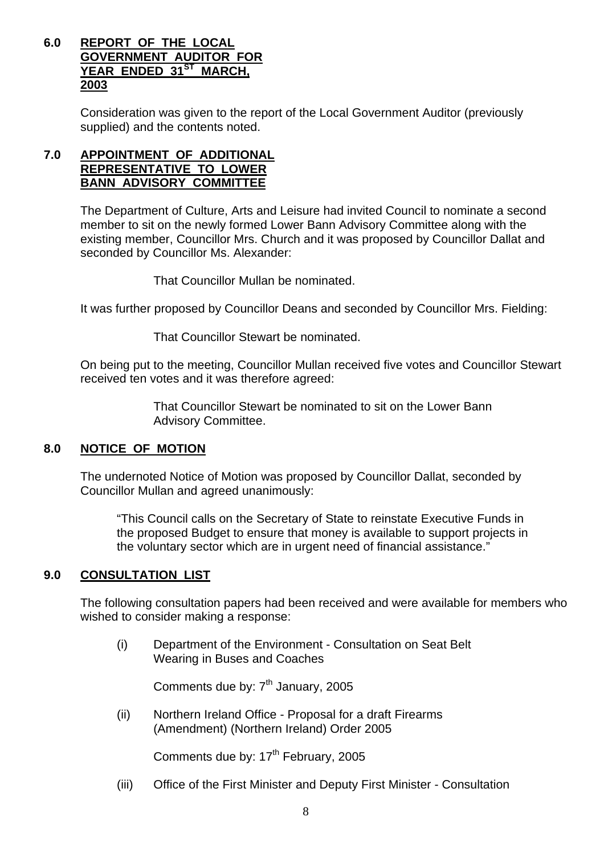# **6.0 REPORT OF THE LOCAL GOVERNMENT AUDITOR FOR** YEAR ENDED 31<sup>ST</sup> MARCH,  **2003**

 Consideration was given to the report of the Local Government Auditor (previously supplied) and the contents noted.

# **7.0 APPOINTMENT OF ADDITIONAL REPRESENTATIVE TO LOWER BANN ADVISORY COMMITTEE**

 The Department of Culture, Arts and Leisure had invited Council to nominate a second member to sit on the newly formed Lower Bann Advisory Committee along with the existing member, Councillor Mrs. Church and it was proposed by Councillor Dallat and seconded by Councillor Ms. Alexander:

That Councillor Mullan be nominated.

It was further proposed by Councillor Deans and seconded by Councillor Mrs. Fielding:

That Councillor Stewart be nominated.

On being put to the meeting, Councillor Mullan received five votes and Councillor Stewart received ten votes and it was therefore agreed:

> That Councillor Stewart be nominated to sit on the Lower Bann Advisory Committee.

#### **8.0 NOTICE OF MOTION**

The undernoted Notice of Motion was proposed by Councillor Dallat, seconded by Councillor Mullan and agreed unanimously:

"This Council calls on the Secretary of State to reinstate Executive Funds in the proposed Budget to ensure that money is available to support projects in the voluntary sector which are in urgent need of financial assistance."

# **9.0 CONSULTATION LIST**

 The following consultation papers had been received and were available for members who wished to consider making a response:

(i) Department of the Environment - Consultation on Seat Belt Wearing in Buses and Coaches

Comments due by: 7<sup>th</sup> January, 2005

(ii) Northern Ireland Office - Proposal for a draft Firearms (Amendment) (Northern Ireland) Order 2005

Comments due by: 17<sup>th</sup> February, 2005

(iii) Office of the First Minister and Deputy First Minister - Consultation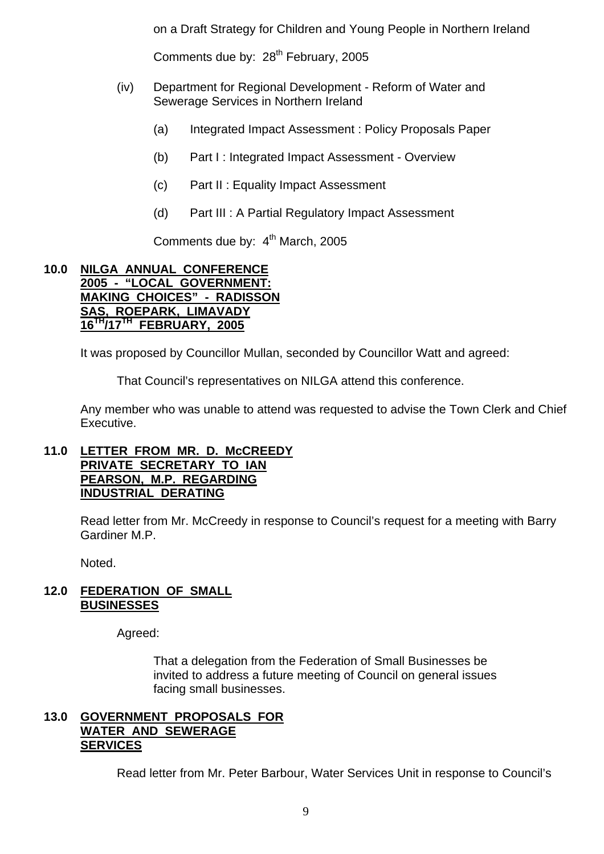on a Draft Strategy for Children and Young People in Northern Ireland

Comments due by: 28<sup>th</sup> February, 2005

- (iv) Department for Regional Development Reform of Water and Sewerage Services in Northern Ireland
	- (a) Integrated Impact Assessment : Policy Proposals Paper
	- (b) Part I : Integrated Impact Assessment Overview
	- (c) Part II : Equality Impact Assessment
	- (d) Part III : A Partial Regulatory Impact Assessment

Comments due by: 4<sup>th</sup> March, 2005

#### **10.0 NILGA ANNUAL CONFERENCE 2005 - "LOCAL GOVERNMENT: MAKING CHOICES" - RADISSON SAS, ROEPARK, LIMAVADY 16TH/17TH FEBRUARY, 2005**

It was proposed by Councillor Mullan, seconded by Councillor Watt and agreed:

That Council's representatives on NILGA attend this conference.

 Any member who was unable to attend was requested to advise the Town Clerk and Chief Executive.

#### **11.0 LETTER FROM MR. D. McCREEDY PRIVATE SECRETARY TO IAN PEARSON, M.P. REGARDING INDUSTRIAL DERATING**

Read letter from Mr. McCreedy in response to Council's request for a meeting with Barry Gardiner M.P.

Noted.

#### **12.0 FEDERATION OF SMALL BUSINESSES**

Agreed:

 That a delegation from the Federation of Small Businesses be invited to address a future meeting of Council on general issues facing small businesses.

#### **13.0 GOVERNMENT PROPOSALS FOR WATER AND SEWERAGE SERVICES**

Read letter from Mr. Peter Barbour, Water Services Unit in response to Council's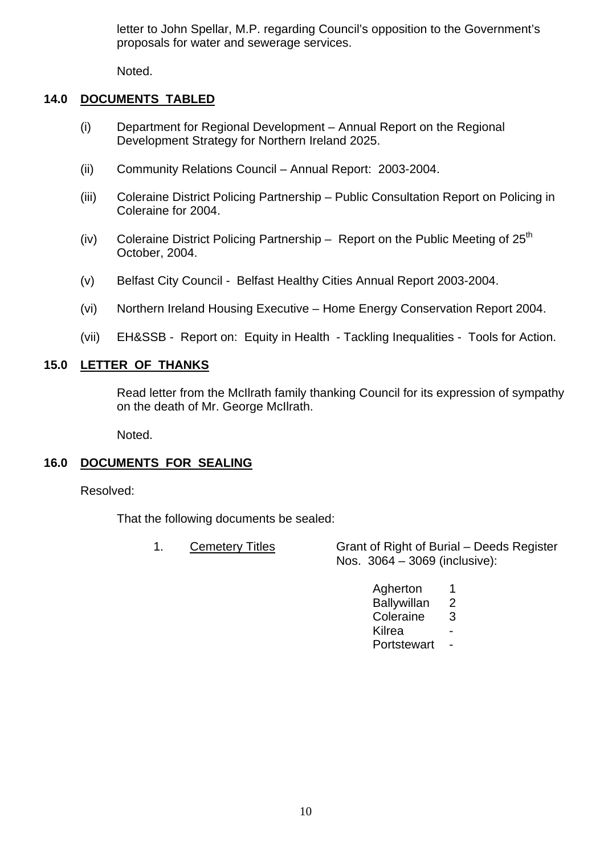letter to John Spellar, M.P. regarding Council's opposition to the Government's proposals for water and sewerage services.

Noted.

# **14.0 DOCUMENTS TABLED**

- (i) Department for Regional Development Annual Report on the Regional Development Strategy for Northern Ireland 2025.
- (ii) Community Relations Council Annual Report: 2003-2004.
- (iii) Coleraine District Policing Partnership Public Consultation Report on Policing in Coleraine for 2004.
- (iv) Coleraine District Policing Partnership Report on the Public Meeting of  $25<sup>th</sup>$ October, 2004.
- (v) Belfast City Council Belfast Healthy Cities Annual Report 2003-2004.
- (vi) Northern Ireland Housing Executive Home Energy Conservation Report 2004.
- (vii) EH&SSB Report on: Equity in Health Tackling Inequalities Tools for Action.

# **15.0 LETTER OF THANKS**

Read letter from the McIlrath family thanking Council for its expression of sympathy on the death of Mr. George McIlrath.

Noted.

# **16.0 DOCUMENTS FOR SEALING**

Resolved:

That the following documents be sealed:

- 1. Cemetery Titles Grant of Right of Burial Deeds Register Nos. 3064 – 3069 (inclusive):
- Agherton 1 Ballywillan 2 Coleraine 3 <u>Kilrea dhexe a shekara ta 1989 - Kilrea shekara ta 1989 - Ann an tsan ann an tsan ann an tsan ann an tsan ann a</u> Portstewart -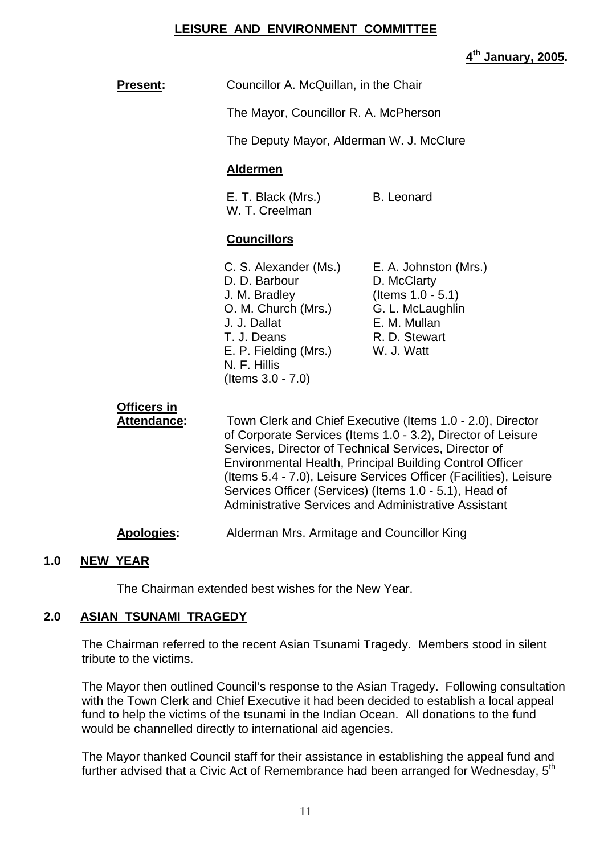## **LEISURE AND ENVIRONMENT COMMITTEE**

**4th January, 2005.** 

| <b>Present:</b>                          | Councillor A. McQuillan, in the Chair                                                                                                                                                                                                                                                                                                                                                                                                         |                                                                                                                                 |
|------------------------------------------|-----------------------------------------------------------------------------------------------------------------------------------------------------------------------------------------------------------------------------------------------------------------------------------------------------------------------------------------------------------------------------------------------------------------------------------------------|---------------------------------------------------------------------------------------------------------------------------------|
|                                          | The Mayor, Councillor R. A. McPherson                                                                                                                                                                                                                                                                                                                                                                                                         |                                                                                                                                 |
|                                          | The Deputy Mayor, Alderman W. J. McClure                                                                                                                                                                                                                                                                                                                                                                                                      |                                                                                                                                 |
|                                          | <b>Aldermen</b>                                                                                                                                                                                                                                                                                                                                                                                                                               |                                                                                                                                 |
|                                          | E. T. Black (Mrs.)<br>W. T. Creelman                                                                                                                                                                                                                                                                                                                                                                                                          | <b>B.</b> Leonard                                                                                                               |
|                                          | <b>Councillors</b>                                                                                                                                                                                                                                                                                                                                                                                                                            |                                                                                                                                 |
|                                          | C. S. Alexander (Ms.)<br>D. D. Barbour<br>J. M. Bradley<br>O. M. Church (Mrs.)<br>J. J. Dallat<br>T. J. Deans<br>E. P. Fielding (Mrs.)<br>N. F. Hillis<br>(Items $3.0 - 7.0$ )                                                                                                                                                                                                                                                                | E. A. Johnston (Mrs.)<br>D. McClarty<br>(Items $1.0 - 5.1$ )<br>G. L. McLaughlin<br>E. M. Mullan<br>R. D. Stewart<br>W. J. Watt |
| <b>Officers in</b><br><b>Attendance:</b> | Town Clerk and Chief Executive (Items 1.0 - 2.0), Director<br>of Corporate Services (Items 1.0 - 3.2), Director of Leisure<br>Services, Director of Technical Services, Director of<br><b>Environmental Health, Principal Building Control Officer</b><br>(Items 5.4 - 7.0), Leisure Services Officer (Facilities), Leisure<br>Services Officer (Services) (Items 1.0 - 5.1), Head of<br>Administrative Services and Administrative Assistant |                                                                                                                                 |
| <b>Apologies:</b>                        | Alderman Mrs. Armitage and Councillor King                                                                                                                                                                                                                                                                                                                                                                                                    |                                                                                                                                 |

#### **1.0 NEW YEAR**

The Chairman extended best wishes for the New Year.

#### **2.0 ASIAN TSUNAMI TRAGEDY**

The Chairman referred to the recent Asian Tsunami Tragedy. Members stood in silent tribute to the victims.

The Mayor then outlined Council's response to the Asian Tragedy. Following consultation with the Town Clerk and Chief Executive it had been decided to establish a local appeal fund to help the victims of the tsunami in the Indian Ocean. All donations to the fund would be channelled directly to international aid agencies.

The Mayor thanked Council staff for their assistance in establishing the appeal fund and further advised that a Civic Act of Remembrance had been arranged for Wednesday, 5<sup>th</sup>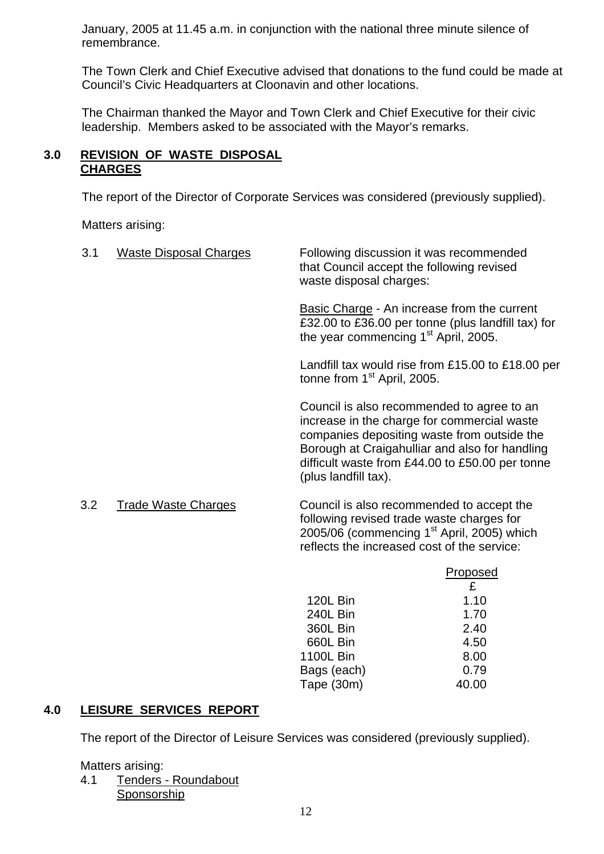January, 2005 at 11.45 a.m. in conjunction with the national three minute silence of remembrance.

The Town Clerk and Chief Executive advised that donations to the fund could be made at Council's Civic Headquarters at Cloonavin and other locations.

The Chairman thanked the Mayor and Town Clerk and Chief Executive for their civic leadership. Members asked to be associated with the Mayor's remarks.

# **3.0 REVISION OF WASTE DISPOSAL CHARGES**

The report of the Director of Corporate Services was considered (previously supplied).

Matters arising:

| 3.1 | <b>Waste Disposal Charges</b> | Following discussion it was recommended<br>that Council accept the following revised<br>waste disposal charges:                                                                                                                                                       |
|-----|-------------------------------|-----------------------------------------------------------------------------------------------------------------------------------------------------------------------------------------------------------------------------------------------------------------------|
|     |                               | Basic Charge - An increase from the current<br>£32.00 to £36.00 per tonne (plus landfill tax) for<br>the year commencing 1 <sup>st</sup> April, 2005.                                                                                                                 |
|     |                               | Landfill tax would rise from £15.00 to £18.00 per<br>tonne from 1 <sup>st</sup> April, 2005.                                                                                                                                                                          |
|     |                               | Council is also recommended to agree to an<br>increase in the charge for commercial waste<br>companies depositing waste from outside the<br>Borough at Craigahulliar and also for handling<br>difficult waste from £44.00 to £50.00 per tonne<br>(plus landfill tax). |
| 3.2 | <b>Trade Waste Charges</b>    | Council is also recommended to accept the<br>following revised trade waste charges for<br>2005/06 (commencing $1st$ April, 2005) which<br>reflects the increased cost of the service:                                                                                 |
|     |                               | <u>Proposed</u><br>£                                                                                                                                                                                                                                                  |

|                  | £     |
|------------------|-------|
| <b>120L Bin</b>  | 1.10  |
| 240L Bin         | 1.70  |
| <b>360L Bin</b>  | 2.40  |
| 660L Bin         | 4.50  |
| <b>1100L Bin</b> | 8.00  |
| Bags (each)      | 0.79  |
| Tape (30m)       | 40.00 |

# **4.0 LEISURE SERVICES REPORT**

The report of the Director of Leisure Services was considered (previously supplied).

#### Matters arising:

 4.1 Tenders - Roundabout Sponsorship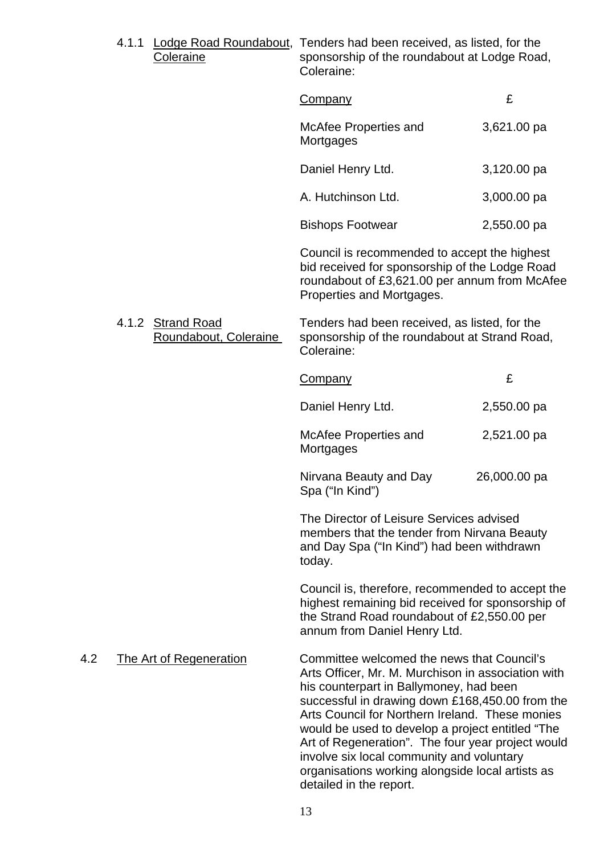|     | 4.1.1 | Coleraine                                  | Lodge Road Roundabout, Tenders had been received, as listed, for the<br>sponsorship of the roundabout at Lodge Road,<br>Coleraine:                                                                                                                                                                                                                                                                                                                                                     |              |
|-----|-------|--------------------------------------------|----------------------------------------------------------------------------------------------------------------------------------------------------------------------------------------------------------------------------------------------------------------------------------------------------------------------------------------------------------------------------------------------------------------------------------------------------------------------------------------|--------------|
|     |       |                                            | Company                                                                                                                                                                                                                                                                                                                                                                                                                                                                                | £            |
|     |       |                                            | McAfee Properties and<br>Mortgages                                                                                                                                                                                                                                                                                                                                                                                                                                                     | 3,621.00 pa  |
|     |       |                                            | Daniel Henry Ltd.                                                                                                                                                                                                                                                                                                                                                                                                                                                                      | 3,120.00 pa  |
|     |       |                                            | A. Hutchinson Ltd.                                                                                                                                                                                                                                                                                                                                                                                                                                                                     | 3,000.00 pa  |
|     |       |                                            | <b>Bishops Footwear</b>                                                                                                                                                                                                                                                                                                                                                                                                                                                                | 2,550.00 pa  |
|     |       |                                            | Council is recommended to accept the highest<br>bid received for sponsorship of the Lodge Road<br>roundabout of £3,621.00 per annum from McAfee<br>Properties and Mortgages.                                                                                                                                                                                                                                                                                                           |              |
|     |       | 4.1.2 Strand Road<br>Roundabout, Coleraine | Tenders had been received, as listed, for the<br>sponsorship of the roundabout at Strand Road,<br>Coleraine:                                                                                                                                                                                                                                                                                                                                                                           |              |
|     |       |                                            | <b>Company</b>                                                                                                                                                                                                                                                                                                                                                                                                                                                                         | £            |
|     |       |                                            | Daniel Henry Ltd.                                                                                                                                                                                                                                                                                                                                                                                                                                                                      | 2,550.00 pa  |
|     |       |                                            | McAfee Properties and<br>Mortgages                                                                                                                                                                                                                                                                                                                                                                                                                                                     | 2,521.00 pa  |
|     |       |                                            | Nirvana Beauty and Day<br>Spa ("In Kind")                                                                                                                                                                                                                                                                                                                                                                                                                                              | 26,000.00 pa |
|     |       |                                            | The Director of Leisure Services advised<br>members that the tender from Nirvana Beauty<br>and Day Spa ("In Kind") had been withdrawn<br>today.                                                                                                                                                                                                                                                                                                                                        |              |
|     |       |                                            | Council is, therefore, recommended to accept the<br>highest remaining bid received for sponsorship of<br>the Strand Road roundabout of £2,550.00 per<br>annum from Daniel Henry Ltd.                                                                                                                                                                                                                                                                                                   |              |
| 4.2 |       | <b>The Art of Regeneration</b>             | Committee welcomed the news that Council's<br>Arts Officer, Mr. M. Murchison in association with<br>his counterpart in Ballymoney, had been<br>successful in drawing down £168,450.00 from the<br>Arts Council for Northern Ireland. These monies<br>would be used to develop a project entitled "The<br>Art of Regeneration". The four year project would<br>involve six local community and voluntary<br>organisations working alongside local artists as<br>detailed in the report. |              |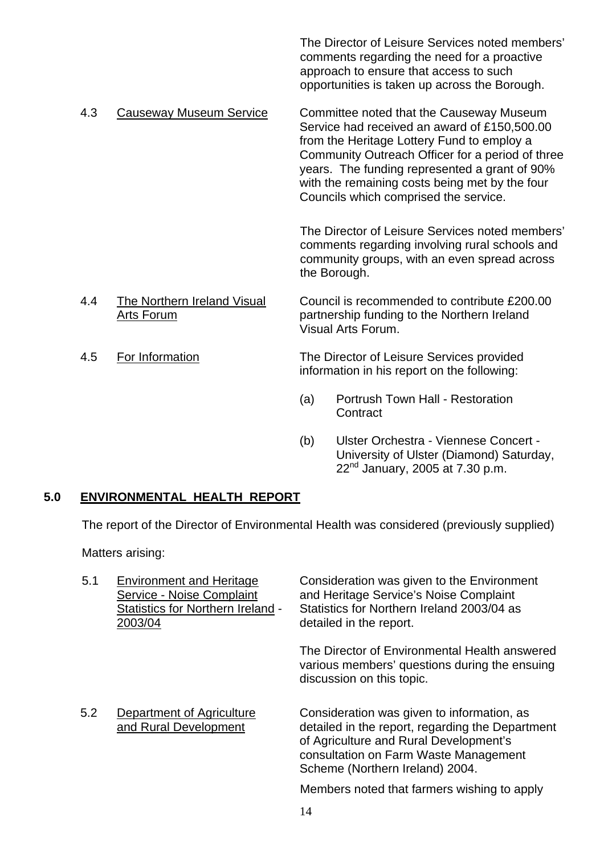The Director of Leisure Services noted members' comments regarding the need for a proactive approach to ensure that access to such opportunities is taken up across the Borough.

 4.3 Causeway Museum Service Committee noted that the Causeway Museum Service had received an award of £150,500.00 from the Heritage Lottery Fund to employ a Community Outreach Officer for a period of three years. The funding represented a grant of 90% with the remaining costs being met by the four Councils which comprised the service.

> The Director of Leisure Services noted members' comments regarding involving rural schools and community groups, with an even spread across the Borough.

- 4.4 The Northern Ireland Visual Council is recommended to contribute £200.00 Arts Forum partnership funding to the Northern Ireland Visual Arts Forum.
- 

 4.5 For Information The Director of Leisure Services provided information in his report on the following:

- (a) Portrush Town Hall Restoration **Contract**
- (b) Ulster Orchestra Viennese Concert University of Ulster (Diamond) Saturday,  $22<sup>nd</sup>$  January, 2005 at 7.30 p.m.

# **5.0 ENVIRONMENTAL HEALTH REPORT**

The report of the Director of Environmental Health was considered (previously supplied)

Matters arising:

| 5.1 | <b>Environment and Heritage</b><br>Service - Noise Complaint<br><b>Statistics for Northern Ireland -</b><br>2003/04 | Consideration was given to the Environment<br>and Heritage Service's Noise Complaint<br>Statistics for Northern Ireland 2003/04 as<br>detailed in the report.                                                        |
|-----|---------------------------------------------------------------------------------------------------------------------|----------------------------------------------------------------------------------------------------------------------------------------------------------------------------------------------------------------------|
|     |                                                                                                                     | The Director of Environmental Health answered<br>various members' questions during the ensuing<br>discussion on this topic.                                                                                          |
| 5.2 | Department of Agriculture<br>and Rural Development                                                                  | Consideration was given to information, as<br>detailed in the report, regarding the Department<br>of Agriculture and Rural Development's<br>consultation on Farm Waste Management<br>Scheme (Northern Ireland) 2004. |
|     |                                                                                                                     | Members noted that farmers wishing to apply                                                                                                                                                                          |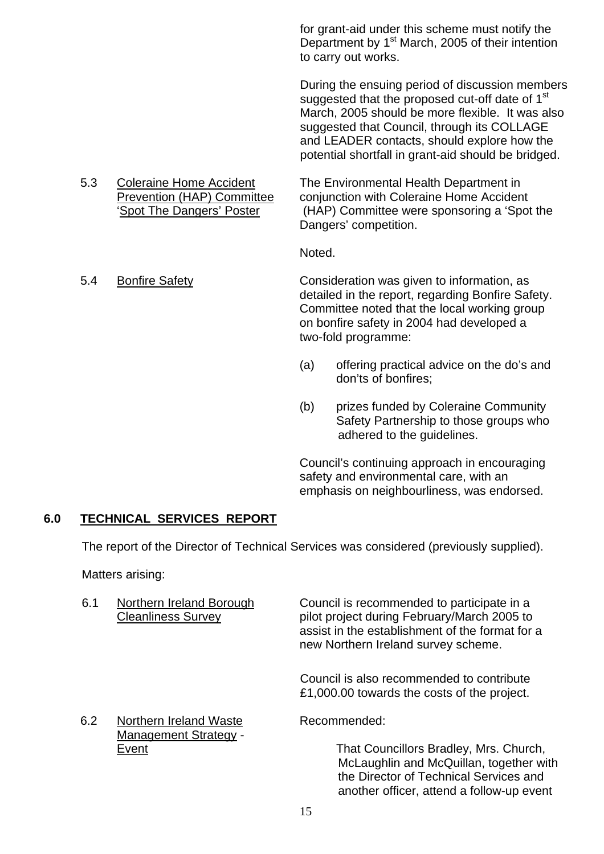for grant-aid under this scheme must notify the Department by 1<sup>st</sup> March, 2005 of their intention to carry out works.

During the ensuing period of discussion members suggested that the proposed cut-off date of 1<sup>st</sup> March, 2005 should be more flexible. It was also suggested that Council, through its COLLAGE and LEADER contacts, should explore how the potential shortfall in grant-aid should be bridged.

5.3 Coleraine Home Accident The Environmental Health Department in<br>Prevention (HAP) Committee conjunction with Coleraine Home Acciden conjunction with Coleraine Home Accident 'Spot The Dangers' Poster (HAP) Committee were sponsoring a 'Spot the Dangers' competition.

**Noted.** The contract of the contract of the Noted.

- 5.4 Bonfire Safety Consideration was given to information, as detailed in the report, regarding Bonfire Safety. Committee noted that the local working group on bonfire safety in 2004 had developed a two-fold programme:
	- (a) offering practical advice on the do's and don'ts of bonfires;
	- (b) prizes funded by Coleraine Community Safety Partnership to those groups who adhered to the guidelines.

Council's continuing approach in encouraging safety and environmental care, with an emphasis on neighbourliness, was endorsed.

another officer, attend a follow-up event

# **6.0 TECHNICAL SERVICES REPORT**

The report of the Director of Technical Services was considered (previously supplied).

Matters arising:

- 6.1 Northern Ireland Borough Council is recommended to participate in a Cleanliness Survey pilot project during February/March 2005 to assist in the establishment of the format for a new Northern Ireland survey scheme. Council is also recommended to contribute £1,000.00 towards the costs of the project. 6.2 Northern Ireland Waste Recommended: Management Strategy - Event Event That Councillors Bradley, Mrs. Church, McLaughlin and McQuillan, together with the Director of Technical Services and
	- 15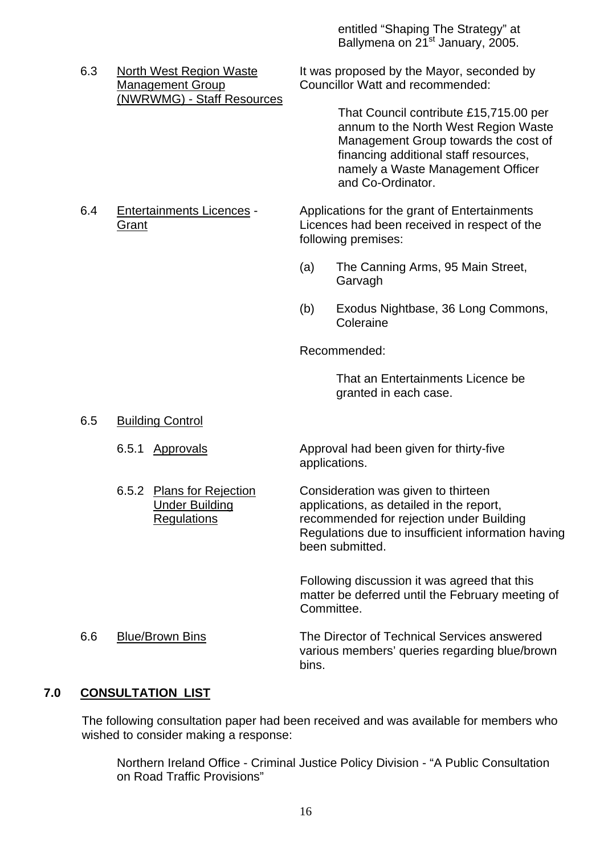entitled "Shaping The Strategy" at Ballymena on 21<sup>st</sup> January, 2005.

(NWRWMG) - Staff Resources

6.3 North West Region Waste It was proposed by the Mayor, seconded by Management Group Councillor Watt and recommended:

> That Council contribute £15,715.00 per annum to the North West Region Waste Management Group towards the cost of financing additional staff resources, namely a Waste Management Officer and Co-Ordinator.

6.4 Entertainments Licences - Applications for the grant of Entertainments Grant Licences had been received in respect of the following premises:

- (a) The Canning Arms, 95 Main Street, **Garvagh**
- (b) Exodus Nightbase, 36 Long Commons, Coleraine

Recommended:

 That an Entertainments Licence be granted in each case.

- 6.5 Building Control
	-
	-

 6.5.1 Approvals Approval had been given for thirty-five applications.

 6.5.2 Plans for Rejection Consideration was given to thirteen Under Building applications, as detailed in the report, Regulations recommended for rejection under Building Regulations due to insufficient information having been submitted.

> Following discussion it was agreed that this matter be deferred until the February meeting of Committee.

 6.6 Blue/Brown Bins The Director of Technical Services answered various members' queries regarding blue/brown bins. The contract of the contract of the bins.

## **7.0 CONSULTATION LIST**

The following consultation paper had been received and was available for members who wished to consider making a response:

 Northern Ireland Office - Criminal Justice Policy Division - "A Public Consultation on Road Traffic Provisions"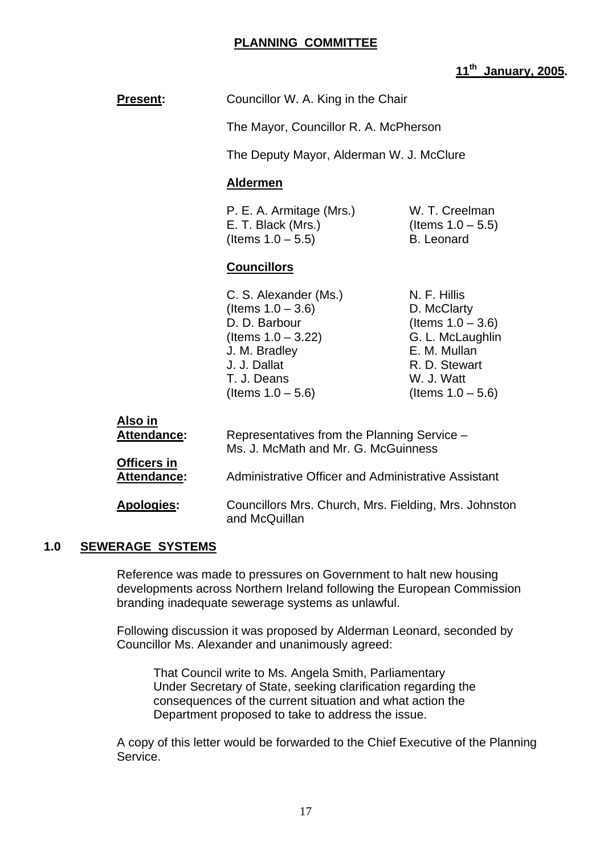# **PLANNING COMMITTEE**

# **11th January, 2005.**

**Present:** Councillor W. A. King in the Chair

The Mayor, Councillor R. A. McPherson

The Deputy Mayor, Alderman W. J. McClure

#### **Aldermen**

P. E. A. Armitage (Mrs.) W. T. Creelman E. T. Black (Mrs.) (Items  $1.0 - 5.5$ )  $($ ltems  $1.0 - 5.5)$  B. Leonard

#### **Councillors**

C. S. Alexander (Ms.) N. F. Hillis  $($ ltems  $1.0 - 3.6)$  D. McClarty D. D. Barbour (Items  $1.0 - 3.6$ )  $($ ltems  $1.0 - 3.22)$  G. L. McLaughlin J. M. Bradley E. M. Mullan J. J. Dallat R. D. Stewart T. J. Deans W. J. Watt  $($ ltems 1.0 – 5.6) (Items 1.0 – 5.6)

| Representatives from the Planning Service -<br>Ms. J. McMath and Mr. G. McGuinness |
|------------------------------------------------------------------------------------|
| Administrative Officer and Administrative Assistant                                |
| Councillors Mrs. Church, Mrs. Fielding, Mrs. Johnston<br>and McQuillan             |
|                                                                                    |

#### **1.0 SEWERAGE SYSTEMS**

 Reference was made to pressures on Government to halt new housing developments across Northern Ireland following the European Commission branding inadequate sewerage systems as unlawful.

 Following discussion it was proposed by Alderman Leonard, seconded by Councillor Ms. Alexander and unanimously agreed:

 That Council write to Ms. Angela Smith, Parliamentary Under Secretary of State, seeking clarification regarding the consequences of the current situation and what action the Department proposed to take to address the issue.

 A copy of this letter would be forwarded to the Chief Executive of the Planning Service.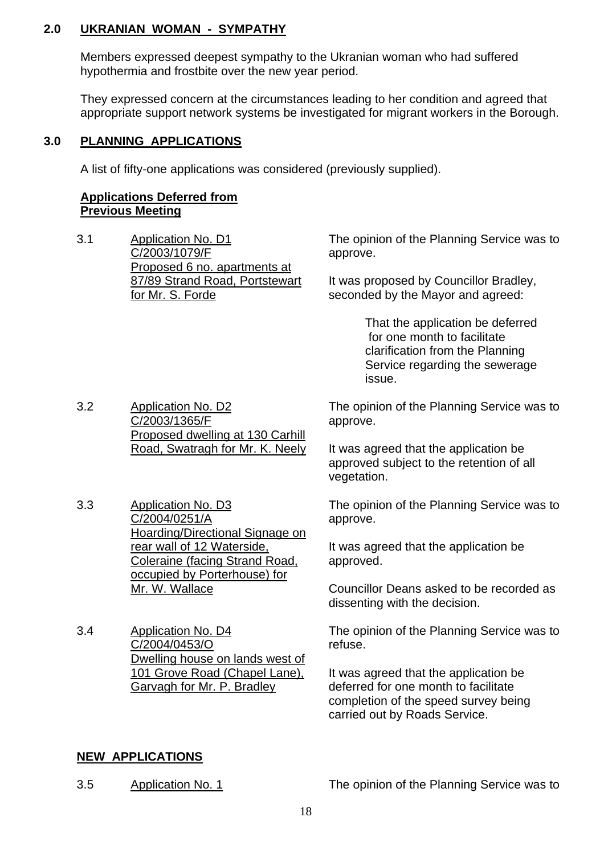#### **2.0 UKRANIAN WOMAN - SYMPATHY**

 Members expressed deepest sympathy to the Ukranian woman who had suffered hypothermia and frostbite over the new year period.

 They expressed concern at the circumstances leading to her condition and agreed that appropriate support network systems be investigated for migrant workers in the Borough.

# **3.0 PLANNING APPLICATIONS**

A list of fifty-one applications was considered (previously supplied).

#### **Applications Deferred from Previous Meeting**

3.1 Application No. D1 C/2003/1079/F Proposed 6 no. apartments at 87/89 Strand Road, Portstewart for Mr. S. Forde

The opinion of the Planning Service was to approve.

It was proposed by Councillor Bradley, seconded by the Mayor and agreed:

> That the application be deferred for one month to facilitate clarification from the Planning Service regarding the sewerage issue.

3.2 Application No. D2 C/2003/1365/F Proposed dwelling at 130 Carhill Road, Swatragh for Mr. K. Neely

3.3 Application No. D3 C/2004/0251/A Hoarding/Directional Signage on rear wall of 12 Waterside, Coleraine (facing Strand Road, occupied by Porterhouse) for Mr. W. Wallace

3.4 Application No. D4 C/2004/0453/O Dwelling house on lands west of 101 Grove Road (Chapel Lane), Garvagh for Mr. P. Bradley

The opinion of the Planning Service was to approve.

It was agreed that the application be approved subject to the retention of all vegetation.

The opinion of the Planning Service was to approve.

It was agreed that the application be approved.

Councillor Deans asked to be recorded as dissenting with the decision.

The opinion of the Planning Service was to refuse.

It was agreed that the application be deferred for one month to facilitate completion of the speed survey being carried out by Roads Service.

# **NEW APPLICATIONS**

3.5 Application No. 1 The opinion of the Planning Service was to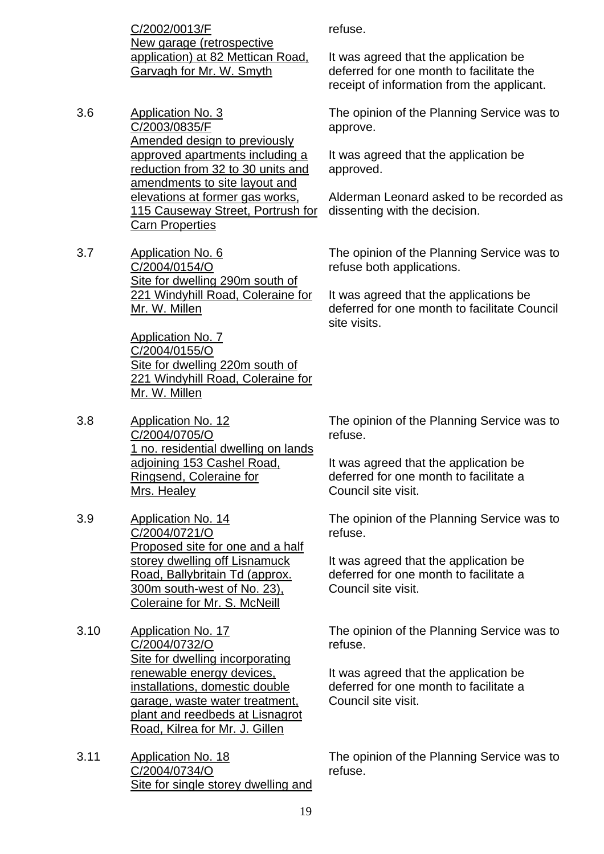C/2002/0013/F New garage (retrospective application) at 82 Mettican Road, Garvagh for Mr. W. Smyth

- 3.6 Application No. 3 C/2003/0835/F Amended design to previously approved apartments including a reduction from 32 to 30 units and amendments to site layout and elevations at former gas works, 115 Causeway Street, Portrush for Carn Properties
- 3.7 Application No. 6 C/2004/0154/O Site for dwelling 290m south of 221 Windyhill Road, Coleraine for Mr. W. Millen

 Application No. 7 C/2004/0155/O Site for dwelling 220m south of 221 Windyhill Road, Coleraine for Mr. W. Millen

- 3.8 Application No. 12 C/2004/0705/O 1 no. residential dwelling on lands adjoining 153 Cashel Road, Ringsend, Coleraine for Mrs. Healey
- 3.9 Application No. 14 C/2004/0721/O Proposed site for one and a half storey dwelling off Lisnamuck Road, Ballybritain Td (approx. 300m south-west of No. 23), Coleraine for Mr. S. McNeill
- 3.10 Application No. 17 C/2004/0732/O Site for dwelling incorporating renewable energy devices, installations, domestic double garage, waste water treatment, plant and reedbeds at Lisnagrot Road, Kilrea for Mr. J. Gillen
- 3.11 Application No. 18 C/2004/0734/O Site for single storey dwelling and

refuse.

It was agreed that the application be deferred for one month to facilitate the receipt of information from the applicant.

The opinion of the Planning Service was to approve.

It was agreed that the application be approved.

Alderman Leonard asked to be recorded as dissenting with the decision.

The opinion of the Planning Service was to refuse both applications.

It was agreed that the applications be deferred for one month to facilitate Council site visits.

The opinion of the Planning Service was to refuse.

It was agreed that the application be deferred for one month to facilitate a Council site visit.

The opinion of the Planning Service was to refuse.

It was agreed that the application be deferred for one month to facilitate a Council site visit.

The opinion of the Planning Service was to refuse.

It was agreed that the application be deferred for one month to facilitate a Council site visit.

The opinion of the Planning Service was to refuse.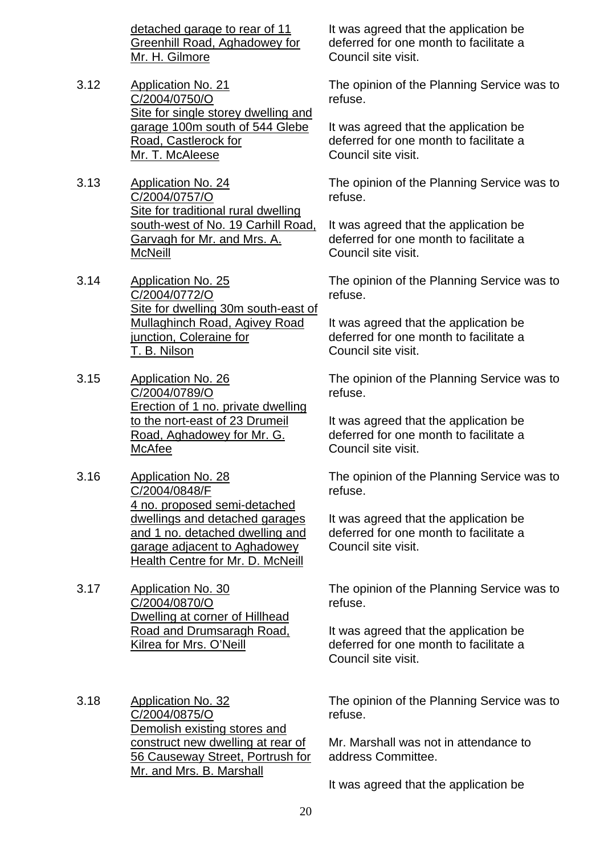detached garage to rear of 11 Greenhill Road, Aghadowey for Mr. H. Gilmore

- 3.12 Application No. 21 C/2004/0750/O Site for single storey dwelling and garage 100m south of 544 Glebe Road, Castlerock for Mr. T. McAleese
- 3.13 Application No. 24 C/2004/0757/O Site for traditional rural dwelling south-west of No. 19 Carhill Road, Garvagh for Mr. and Mrs. A. **McNeill**
- 3.14 Application No. 25 C/2004/0772/O Site for dwelling 30m south-east of Mullaghinch Road, Agivey Road junction, Coleraine for T. B. Nilson
- 3.15 Application No. 26 C/2004/0789/O Erection of 1 no. private dwelling to the nort-east of 23 Drumeil Road, Aghadowey for Mr. G. McAfee
- 3.16 Application No. 28 C/2004/0848/F 4 no. proposed semi-detached dwellings and detached garages and 1 no. detached dwelling and garage adjacent to Aghadowey Health Centre for Mr. D. McNeill
- 3.17 Application No. 30 C/2004/0870/O Dwelling at corner of Hillhead Road and Drumsaragh Road, Kilrea for Mrs. O'Neill
- 3.18 Application No. 32 C/2004/0875/O Demolish existing stores and construct new dwelling at rear of 56 Causeway Street, Portrush for Mr. and Mrs. B. Marshall

It was agreed that the application be deferred for one month to facilitate a Council site visit.

The opinion of the Planning Service was to refuse.

It was agreed that the application be deferred for one month to facilitate a Council site visit.

The opinion of the Planning Service was to refuse.

It was agreed that the application be deferred for one month to facilitate a Council site visit.

The opinion of the Planning Service was to refuse.

It was agreed that the application be deferred for one month to facilitate a Council site visit.

The opinion of the Planning Service was to refuse.

It was agreed that the application be deferred for one month to facilitate a Council site visit.

The opinion of the Planning Service was to refuse.

It was agreed that the application be deferred for one month to facilitate a Council site visit.

The opinion of the Planning Service was to refuse.

It was agreed that the application be deferred for one month to facilitate a Council site visit.

The opinion of the Planning Service was to refuse.

Mr. Marshall was not in attendance to address Committee.

It was agreed that the application be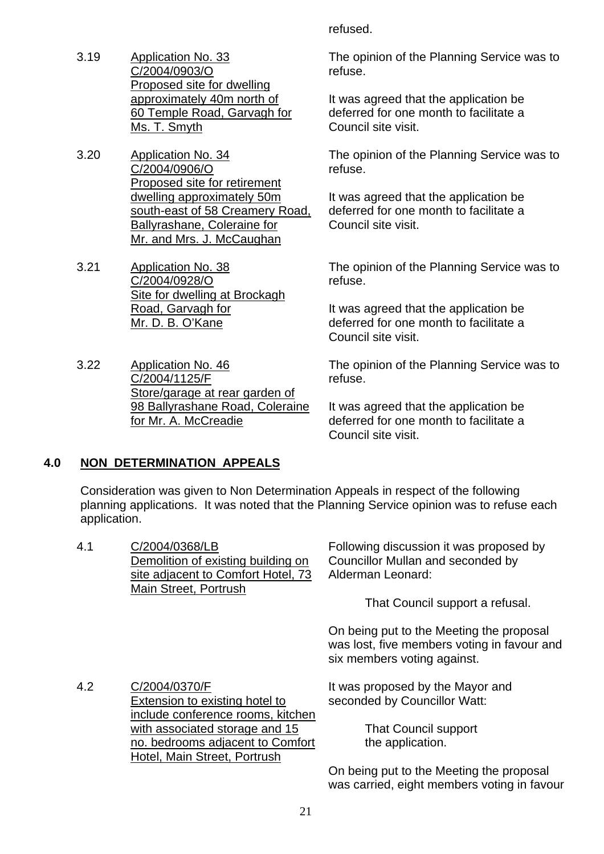3.19 Application No. 33 C/2004/0903/O Proposed site for dwelling approximately 40m north of 60 Temple Road, Garvagh for Ms. T. Smyth

3.20 Application No. 34 C/2004/0906/O Proposed site for retirement dwelling approximately 50m south-east of 58 Creamery Road, Ballyrashane, Coleraine for Mr. and Mrs. J. McCaughan

3.21 Application No. 38 C/2004/0928/O Site for dwelling at Brockagh Road, Garvagh for Mr. D. B. O'Kane

3.22 Application No. 46 C/2004/1125/F Store/garage at rear garden of 98 Ballyrashane Road, Coleraine for Mr. A. McCreadie

refused.

The opinion of the Planning Service was to refuse.

It was agreed that the application be deferred for one month to facilitate a Council site visit.

The opinion of the Planning Service was to refuse.

It was agreed that the application be deferred for one month to facilitate a Council site visit.

The opinion of the Planning Service was to refuse.

It was agreed that the application be deferred for one month to facilitate a Council site visit.

The opinion of the Planning Service was to refuse.

It was agreed that the application be deferred for one month to facilitate a Council site visit.

# **4.0 NON DETERMINATION APPEALS**

 Consideration was given to Non Determination Appeals in respect of the following planning applications. It was noted that the Planning Service opinion was to refuse each application.

| 4.1 | C/2004/0368/LB                     | Following discussion it was proposed by                                                 |
|-----|------------------------------------|-----------------------------------------------------------------------------------------|
|     | Demolition of existing building on | Councillor Mullan and seconded by                                                       |
|     | site adjacent to Comfort Hotel, 73 | Alderman Leonard:                                                                       |
|     | Main Street, Portrush              | That Council support a refusal.                                                         |
|     |                                    | On being put to the Meeting the proposal<br>was lost, five members voting in favour and |

4.2 C/2004/0370/F Extension to existing hotel to include conference rooms, kitchen with associated storage and 15 no. bedrooms adjacent to Comfort Hotel, Main Street, Portrush

It was proposed by the Mayor and seconded by Councillor Watt:

six members voting against.

 That Council support the application.

On being put to the Meeting the proposal was carried, eight members voting in favour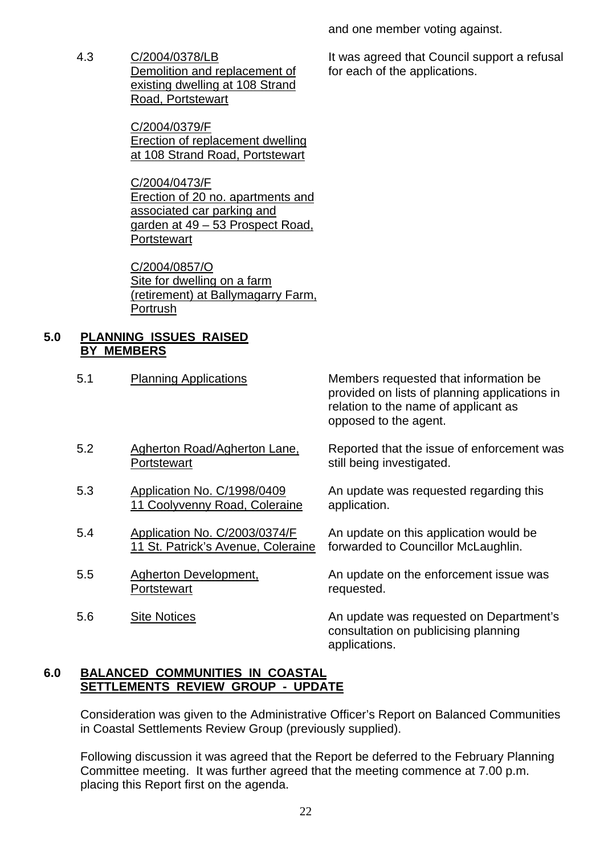and one member voting against.

4.3 C/2004/0378/LB Demolition and replacement of existing dwelling at 108 Strand Road, Portstewart

> C/2004/0379/F Erection of replacement dwelling at 108 Strand Road, Portstewart

C/2004/0473/F Erection of 20 no. apartments and associated car parking and garden at 49 - 53 Prospect Road. **Portstewart** 

C/2004/0857/O Site for dwelling on a farm (retirement) at Ballymagarry Farm, Portrush

# **5.0 PLANNING ISSUES RAISED BY MEMBERS**

5.1 Planning Applications Members requested that information be provided on lists of planning applications in relation to the name of applicant as opposed to the agent.

- 5.2 Agherton Road/Agherton Lane, **Portstewart**
- 5.3 Application No. C/1998/0409 11 Coolyvenny Road, Coleraine
- 5.4 Application No. C/2003/0374/F 11 St. Patrick's Avenue, Coleraine
- 5.5 Agherton Development, **Portstewart**
- 

Reported that the issue of enforcement was still being investigated.

An update was requested regarding this application.

An update on this application would be forwarded to Councillor McLaughlin.

An update on the enforcement issue was requested.

5.6 Site Notices **An update was requested on Department's** consultation on publicising planning applications.

# **6.0 BALANCED COMMUNITIES IN COASTAL SETTLEMENTS REVIEW GROUP - UPDATE**

 Consideration was given to the Administrative Officer's Report on Balanced Communities in Coastal Settlements Review Group (previously supplied).

 Following discussion it was agreed that the Report be deferred to the February Planning Committee meeting. It was further agreed that the meeting commence at 7.00 p.m. placing this Report first on the agenda.

It was agreed that Council support a refusal for each of the applications.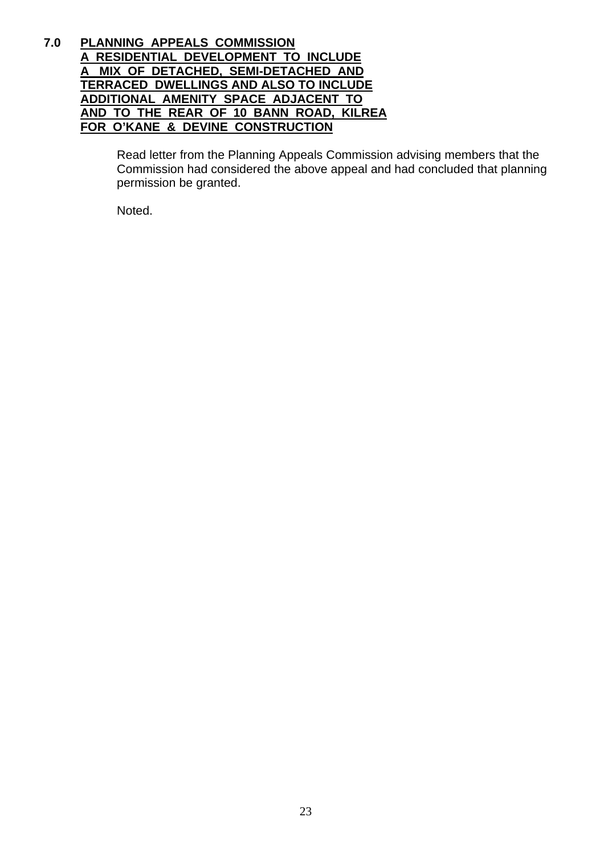#### **7.0 PLANNING APPEALS COMMISSION A RESIDENTIAL DEVELOPMENT TO INCLUDE A MIX OF DETACHED, SEMI-DETACHED AND TERRACED DWELLINGS AND ALSO TO INCLUDE ADDITIONAL AMENITY SPACE ADJACENT TO AND TO THE REAR OF 10 BANN ROAD, KILREA FOR O'KANE & DEVINE CONSTRUCTION**

 Read letter from the Planning Appeals Commission advising members that the Commission had considered the above appeal and had concluded that planning permission be granted.

Noted.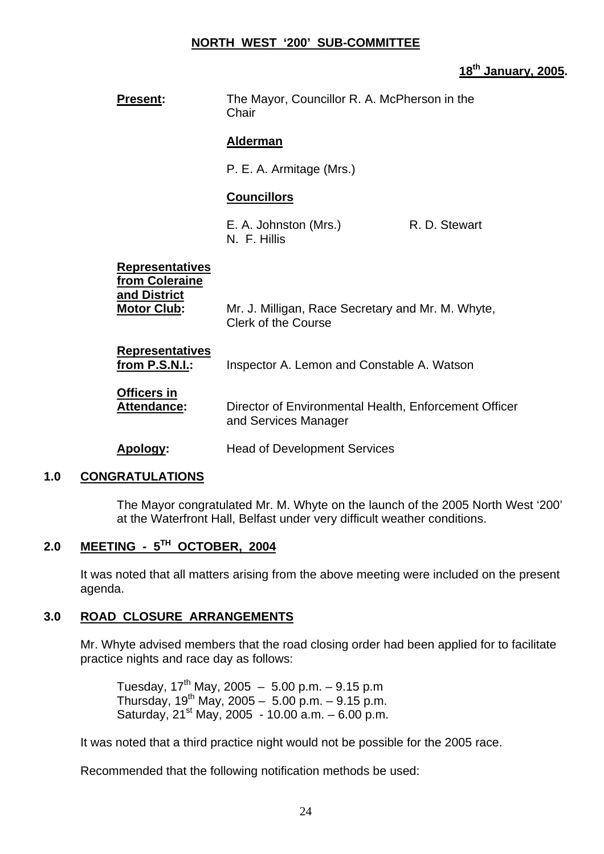# **NORTH WEST '200' SUB-COMMITTEE**

#### **18th January, 2005.**

| <b>Present:</b>                                                                | The Mayor, Councillor R. A. McPherson in the<br>Chair                           |               |
|--------------------------------------------------------------------------------|---------------------------------------------------------------------------------|---------------|
|                                                                                | <b>Alderman</b>                                                                 |               |
|                                                                                | P. E. A. Armitage (Mrs.)                                                        |               |
|                                                                                | <b>Councillors</b>                                                              |               |
|                                                                                | E. A. Johnston (Mrs.)<br>N. F. Hillis                                           | R. D. Stewart |
| <b>Representatives</b><br>from Coleraine<br>and District<br><b>Motor Club:</b> | Mr. J. Milligan, Race Secretary and Mr. M. Whyte,<br><b>Clerk of the Course</b> |               |
| <b>Representatives</b><br><u>from P.S.N.I.:</u>                                | Inspector A. Lemon and Constable A. Watson                                      |               |
| <b>Officers in</b><br><b>Attendance:</b>                                       | Director of Environmental Health, Enforcement Officer<br>and Services Manager   |               |
| Apology:                                                                       | <b>Head of Development Services</b>                                             |               |

#### **1.0 CONGRATULATIONS**

 The Mayor congratulated Mr. M. Whyte on the launch of the 2005 North West '200' at the Waterfront Hall, Belfast under very difficult weather conditions.

# **2.0 MEETING - 5TH OCTOBER, 2004**

 It was noted that all matters arising from the above meeting were included on the present agenda.

#### **3.0 ROAD CLOSURE ARRANGEMENTS**

 Mr. Whyte advised members that the road closing order had been applied for to facilitate practice nights and race day as follows:

Tuesday,  $17^{th}$  May, 2005 - 5.00 p.m. - 9.15 p.m Thursday,  $19^{th}$  May,  $2005 - 5.00$  p.m.  $- 9.15$  p.m. Saturday,  $21^{st}$  May,  $2005 - 10.00$  a.m.  $-6.00$  p.m.

It was noted that a third practice night would not be possible for the 2005 race.

Recommended that the following notification methods be used: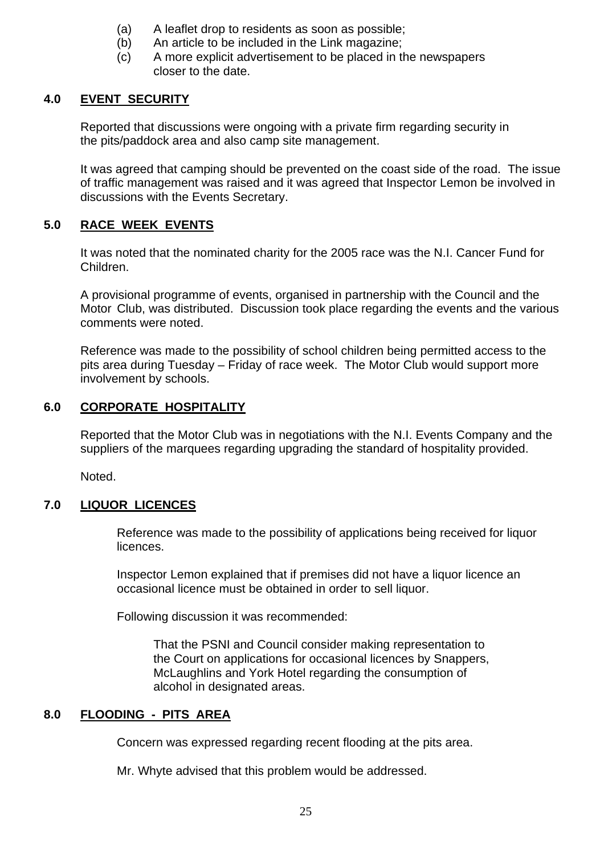- (a) A leaflet drop to residents as soon as possible;
- (b) An article to be included in the Link magazine;
- (c) A more explicit advertisement to be placed in the newspapers closer to the date.

# **4.0 EVENT SECURITY**

 Reported that discussions were ongoing with a private firm regarding security in the pits/paddock area and also camp site management.

 It was agreed that camping should be prevented on the coast side of the road. The issue of traffic management was raised and it was agreed that Inspector Lemon be involved in discussions with the Events Secretary.

# **5.0 RACE WEEK EVENTS**

 It was noted that the nominated charity for the 2005 race was the N.I. Cancer Fund for Children.

 A provisional programme of events, organised in partnership with the Council and the Motor Club, was distributed. Discussion took place regarding the events and the various comments were noted.

 Reference was made to the possibility of school children being permitted access to the pits area during Tuesday – Friday of race week. The Motor Club would support more involvement by schools.

# **6.0 CORPORATE HOSPITALITY**

 Reported that the Motor Club was in negotiations with the N.I. Events Company and the suppliers of the marquees regarding upgrading the standard of hospitality provided.

Noted.

# **7.0 LIQUOR LICENCES**

 Reference was made to the possibility of applications being received for liquor licences.

 Inspector Lemon explained that if premises did not have a liquor licence an occasional licence must be obtained in order to sell liquor.

Following discussion it was recommended:

 That the PSNI and Council consider making representation to the Court on applications for occasional licences by Snappers, McLaughlins and York Hotel regarding the consumption of alcohol in designated areas.

# **8.0 FLOODING - PITS AREA**

Concern was expressed regarding recent flooding at the pits area.

Mr. Whyte advised that this problem would be addressed.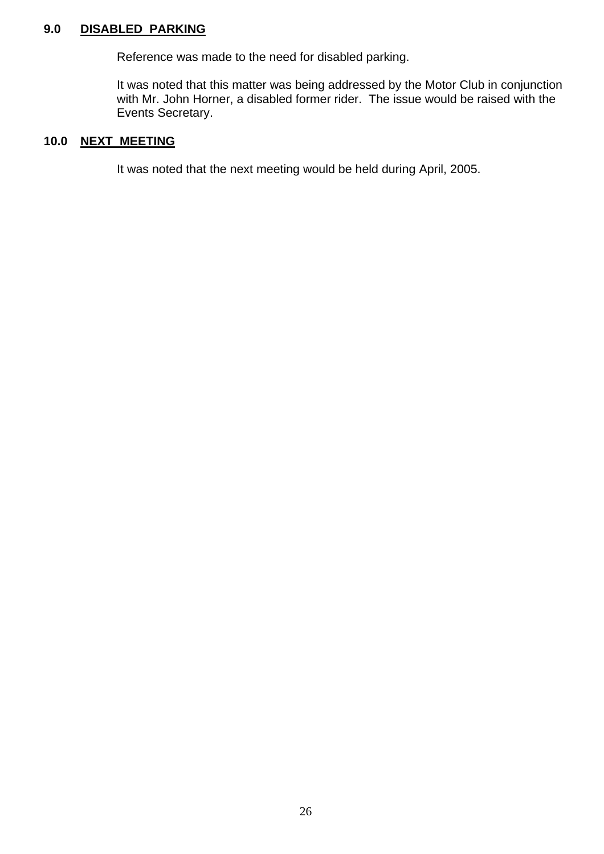# **9.0 DISABLED PARKING**

Reference was made to the need for disabled parking.

 It was noted that this matter was being addressed by the Motor Club in conjunction with Mr. John Horner, a disabled former rider. The issue would be raised with the Events Secretary.

# **10.0 NEXT MEETING**

It was noted that the next meeting would be held during April, 2005.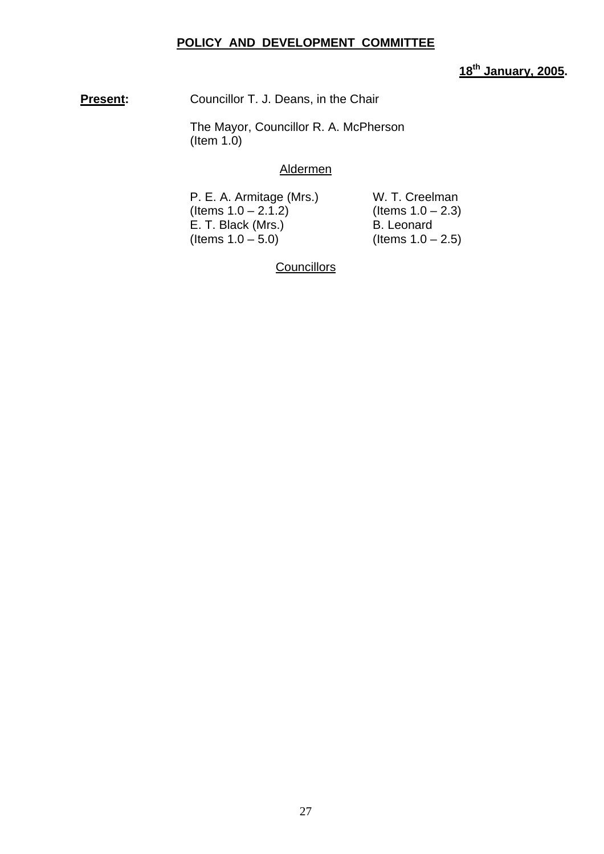# **POLICY AND DEVELOPMENT COMMITTEE**

# **18th January, 2005.**

**Present:** Councillor T. J. Deans, in the Chair

 The Mayor, Councillor R. A. McPherson (Item 1.0)

#### Aldermen

P. E. A. Armitage (Mrs.) W. T. Creelman  $($ ltems  $1.0 - 2.1.2)$   $($ ltems  $1.0 - 2.3)$ E. T. Black (Mrs.) B. Leonard  $($ ltems  $1.0 - 5.0)$  (Items  $1.0 - 2.5)$ 

**Councillors**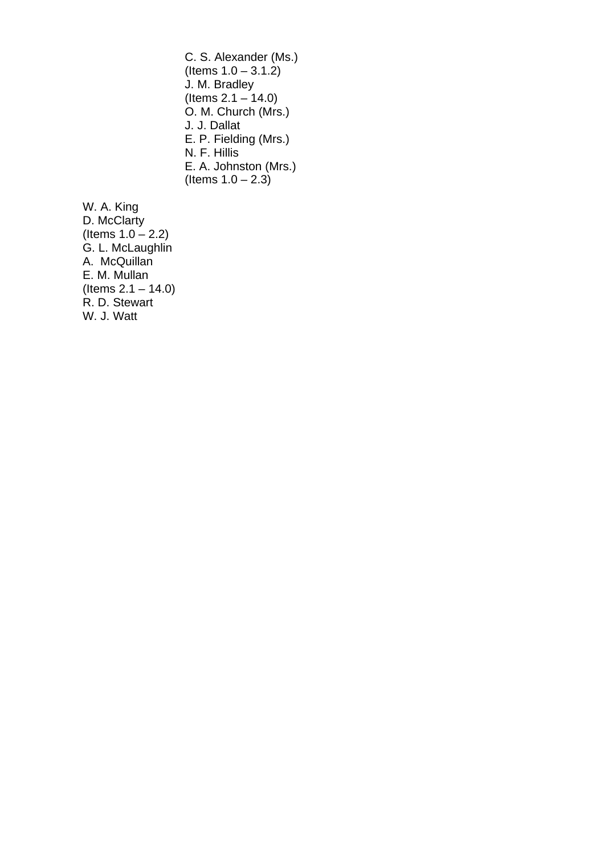C. S. Alexander (Ms.)  $($  ltems  $1.0 - 3.1.2)$ J. M. Bradley (Items 2.1 – 14.0) O. M. Church (Mrs.) J. J. Dallat E. P. Fielding (Mrs.) N. F. Hillis E. A. Johnston (Mrs.) (Items  $1.0 - 2.3$ )

W. A. King D. McClarty (Items  $1.0 - 2.2$ ) G. L. McLaughlin A. McQuillan E. M. Mullan  $($  ltems  $2.1 - 14.0)$ R. D. Stewart W. J. Watt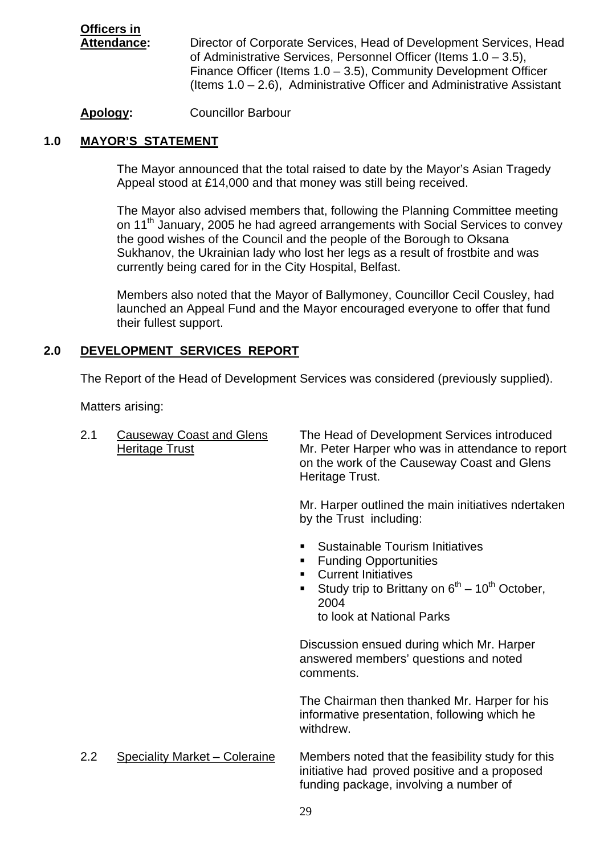# **Officers in**

 **Attendance:** Director of Corporate Services, Head of Development Services, Head of Administrative Services, Personnel Officer (Items 1.0 – 3.5), Finance Officer (Items 1.0 – 3.5), Community Development Officer (Items 1.0 – 2.6), Administrative Officer and Administrative Assistant

**Apology:** Councillor Barbour

# **1.0 MAYOR'S STATEMENT**

 The Mayor announced that the total raised to date by the Mayor's Asian Tragedy Appeal stood at £14,000 and that money was still being received.

 The Mayor also advised members that, following the Planning Committee meeting on 11<sup>th</sup> January, 2005 he had agreed arrangements with Social Services to convey the good wishes of the Council and the people of the Borough to Oksana Sukhanov, the Ukrainian lady who lost her legs as a result of frostbite and was currently being cared for in the City Hospital, Belfast.

 Members also noted that the Mayor of Ballymoney, Councillor Cecil Cousley, had launched an Appeal Fund and the Mayor encouraged everyone to offer that fund their fullest support.

# **2.0 DEVELOPMENT SERVICES REPORT**

The Report of the Head of Development Services was considered (previously supplied).

Matters arising:

| 2.1 | <b>Causeway Coast and Glens</b><br><b>Heritage Trust</b> | The Head of Development Services introduced<br>Mr. Peter Harper who was in attendance to report<br>on the work of the Causeway Coast and Glens<br>Heritage Trust.                                                                     |
|-----|----------------------------------------------------------|---------------------------------------------------------------------------------------------------------------------------------------------------------------------------------------------------------------------------------------|
|     |                                                          | Mr. Harper outlined the main initiatives ndertaken<br>by the Trust including:                                                                                                                                                         |
|     |                                                          | Sustainable Tourism Initiatives<br>٠<br><b>Funding Opportunities</b><br>п<br><b>Current Initiatives</b><br>٠<br>Study trip to Brittany on $6^{th}$ – 10 <sup>th</sup> October,<br>$\blacksquare$<br>2004<br>to look at National Parks |
|     |                                                          | Discussion ensued during which Mr. Harper<br>answered members' questions and noted<br>comments.                                                                                                                                       |
|     |                                                          | The Chairman then thanked Mr. Harper for his<br>informative presentation, following which he<br>withdrew.                                                                                                                             |
| 2.2 | <b>Speciality Market - Coleraine</b>                     | Members noted that the feasibility study for this<br>initiative had proved positive and a proposed<br>funding package, involving a number of                                                                                          |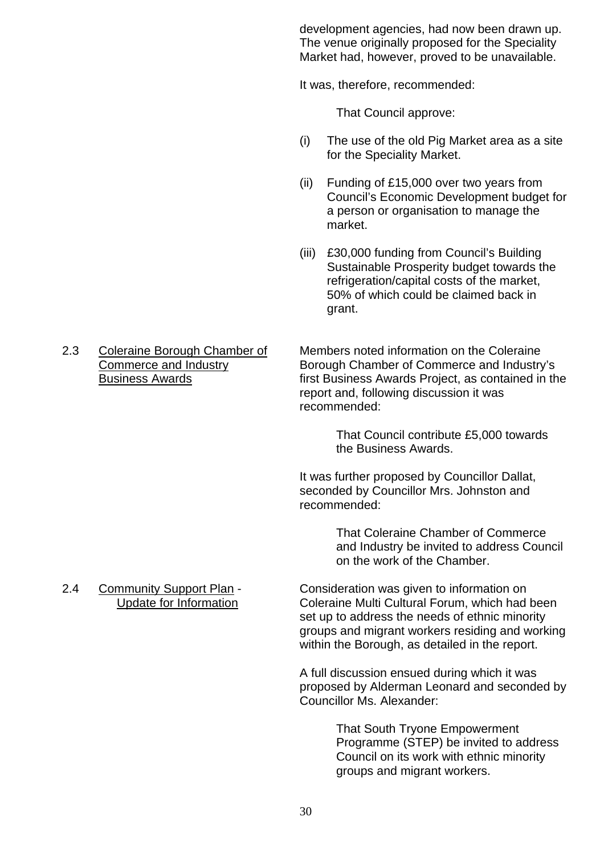development agencies, had now been drawn up. The venue originally proposed for the Speciality Market had, however, proved to be unavailable.

It was, therefore, recommended:

That Council approve:

- (i) The use of the old Pig Market area as a site for the Speciality Market.
- (ii) Funding of £15,000 over two years from Council's Economic Development budget for a person or organisation to manage the market.
- (iii) £30,000 funding from Council's Building Sustainable Prosperity budget towards the refrigeration/capital costs of the market, 50% of which could be claimed back in grant.

2.3 Coleraine Borough Chamber of Members noted information on the Coleraine<br>Commerce and Industry Borough Chamber of Commerce and Industry Borough Chamber of Commerce and Industry's Business Awards **First Business Awards Project, as contained in the**  report and, following discussion it was recommended:

> That Council contribute £5,000 towards the Business Awards.

 It was further proposed by Councillor Dallat, seconded by Councillor Mrs. Johnston and recommended:

> That Coleraine Chamber of Commerce and Industry be invited to address Council on the work of the Chamber.

2.4 Community Support Plan - Consideration was given to information on Update for Information Coleraine Multi Cultural Forum, which had been set up to address the needs of ethnic minority groups and migrant workers residing and working within the Borough, as detailed in the report.

> A full discussion ensued during which it was proposed by Alderman Leonard and seconded by Councillor Ms. Alexander:

> > That South Tryone Empowerment Programme (STEP) be invited to address Council on its work with ethnic minority groups and migrant workers.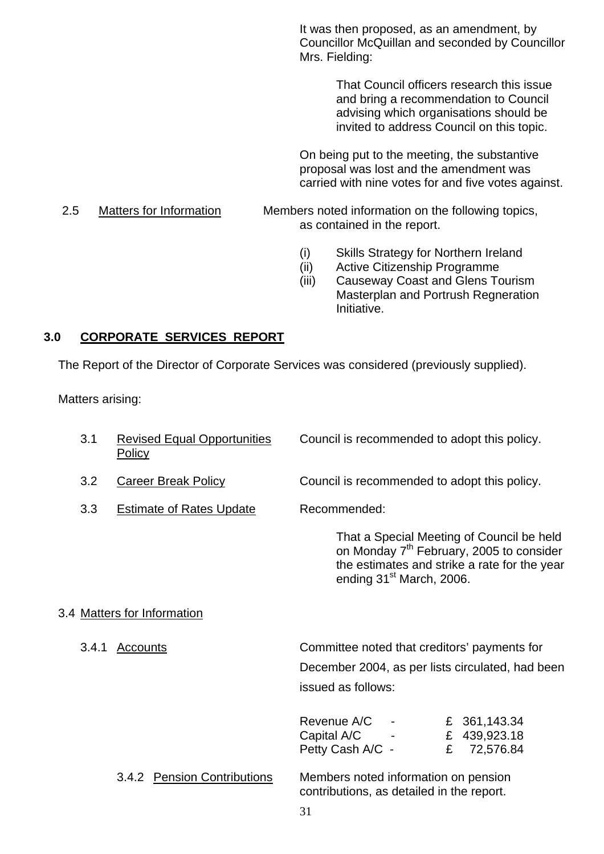It was then proposed, as an amendment, by Councillor McQuillan and seconded by Councillor Mrs. Fielding:

> That Council officers research this issue and bring a recommendation to Council advising which organisations should be invited to address Council on this topic.

 On being put to the meeting, the substantive proposal was lost and the amendment was carried with nine votes for and five votes against.

2.5 Matters for Information Members noted information on the following topics, as contained in the report.

- (i) Skills Strategy for Northern Ireland
- (ii) Active Citizenship Programme
- (iii) Causeway Coast and Glens Tourism Masterplan and Portrush Regneration Initiative.

#### **3.0 CORPORATE SERVICES REPORT**

The Report of the Director of Corporate Services was considered (previously supplied).

Matters arising:

| 3.1   | <b>Revised Equal Opportunities</b><br><b>Policy</b> | Council is recommended to adopt this policy.                                                                                                                                              |
|-------|-----------------------------------------------------|-------------------------------------------------------------------------------------------------------------------------------------------------------------------------------------------|
| 3.2   | <b>Career Break Policy</b>                          | Council is recommended to adopt this policy.                                                                                                                                              |
| 3.3   | <b>Estimate of Rates Update</b>                     | Recommended:                                                                                                                                                                              |
|       |                                                     | That a Special Meeting of Council be held<br>on Monday 7 <sup>th</sup> February, 2005 to consider<br>the estimates and strike a rate for the year<br>ending 31 <sup>st</sup> March, 2006. |
|       | 3.4 Matters for Information                         |                                                                                                                                                                                           |
| 3.4.1 | <b>Accounts</b>                                     | Committee noted that creditors' payments for<br>December 2004, as per lists circulated, had been<br>issued as follows:                                                                    |
|       |                                                     | Revenue A/C<br>£ 361,143.34<br>Capital A/C -<br>£ 439,923.18<br>Petty Cash A/C -<br>72,576.84<br>£                                                                                        |
|       | <b>Pension Contributions</b><br>3.4.2               | Members noted information on pension<br>contributions, as detailed in the report.<br>31                                                                                                   |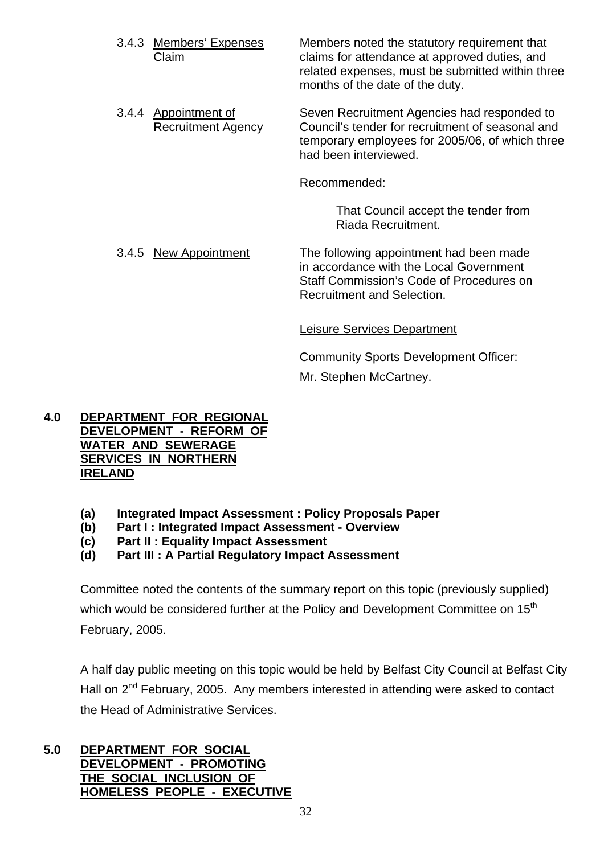- 3.4.3 Members' Expenses Members noted the statutory requirement that Claim claims for attendance at approved duties, and related expenses, must be submitted within three months of the date of the duty.
- 3.4.4 Appointment of Seven Recruitment Agencies had responded to Recruitment Agency Council's tender for recruitment of seasonal and temporary employees for 2005/06, of which three had been interviewed.

Recommended:

 That Council accept the tender from Riada Recruitment.

3.4.5 New Appointment The following appointment had been made in accordance with the Local Government Staff Commission's Code of Procedures on Recruitment and Selection.

Leisure Services Department

Community Sports Development Officer: Mr. Stephen McCartney.

# **4.0 DEPARTMENT FOR REGIONAL DEVELOPMENT - REFORM OF WATER AND SEWERAGE SERVICES IN NORTHERN IRELAND**

- **(a) Integrated Impact Assessment : Policy Proposals Paper**
- **(b) Part I : Integrated Impact Assessment Overview**
- **(c) Part II : Equality Impact Assessment**
- **(d) Part III : A Partial Regulatory Impact Assessment**

Committee noted the contents of the summary report on this topic (previously supplied) which would be considered further at the Policy and Development Committee on  $15<sup>th</sup>$ February, 2005.

 A half day public meeting on this topic would be held by Belfast City Council at Belfast City Hall on 2<sup>nd</sup> February, 2005. Any members interested in attending were asked to contact the Head of Administrative Services.

**5.0 DEPARTMENT FOR SOCIAL DEVELOPMENT - PROMOTING THE SOCIAL INCLUSION OF HOMELESS PEOPLE - EXECUTIVE**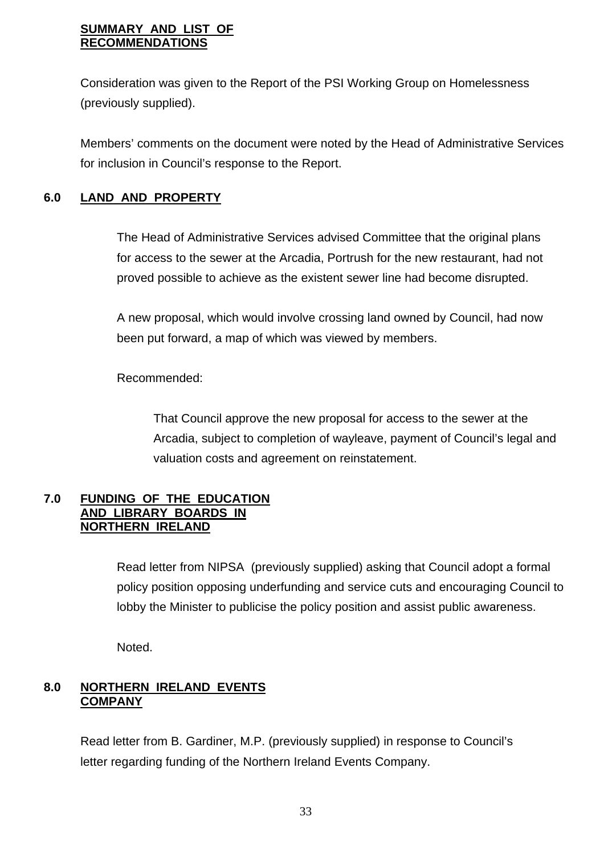## **SUMMARY AND LIST OF RECOMMENDATIONS**

Consideration was given to the Report of the PSI Working Group on Homelessness (previously supplied).

 Members' comments on the document were noted by the Head of Administrative Services for inclusion in Council's response to the Report.

# **6.0 LAND AND PROPERTY**

 The Head of Administrative Services advised Committee that the original plans for access to the sewer at the Arcadia, Portrush for the new restaurant, had not proved possible to achieve as the existent sewer line had become disrupted.

 A new proposal, which would involve crossing land owned by Council, had now been put forward, a map of which was viewed by members.

# Recommended:

 That Council approve the new proposal for access to the sewer at the Arcadia, subject to completion of wayleave, payment of Council's legal and valuation costs and agreement on reinstatement.

# **7.0 FUNDING OF THE EDUCATION AND LIBRARY BOARDS IN NORTHERN IRELAND**

Read letter from NIPSA (previously supplied) asking that Council adopt a formal policy position opposing underfunding and service cuts and encouraging Council to lobby the Minister to publicise the policy position and assist public awareness.

Noted.

# **8.0 NORTHERN IRELAND EVENTS COMPANY**

 Read letter from B. Gardiner, M.P. (previously supplied) in response to Council's letter regarding funding of the Northern Ireland Events Company.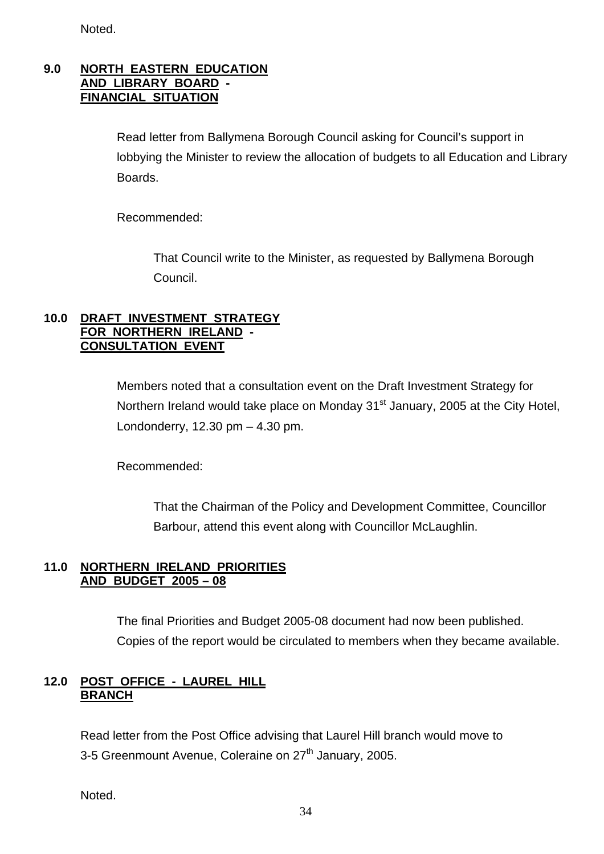Noted.

#### **9.0 NORTH EASTERN EDUCATION AND LIBRARY BOARD - FINANCIAL SITUATION**

 Read letter from Ballymena Borough Council asking for Council's support in lobbying the Minister to review the allocation of budgets to all Education and Library Boards.

Recommended:

 That Council write to the Minister, as requested by Ballymena Borough Council.

# **10.0 DRAFT INVESTMENT STRATEGY FOR NORTHERN IRELAND - CONSULTATION EVENT**

 Members noted that a consultation event on the Draft Investment Strategy for Northern Ireland would take place on Monday 31<sup>st</sup> January, 2005 at the City Hotel, Londonderry, 12.30 pm – 4.30 pm.

Recommended:

 That the Chairman of the Policy and Development Committee, Councillor Barbour, attend this event along with Councillor McLaughlin.

# **11.0 NORTHERN IRELAND PRIORITIES AND BUDGET 2005 – 08**

 The final Priorities and Budget 2005-08 document had now been published. Copies of the report would be circulated to members when they became available.

# **12.0 POST OFFICE - LAUREL HILL BRANCH**

 Read letter from the Post Office advising that Laurel Hill branch would move to 3-5 Greenmount Avenue, Coleraine on 27<sup>th</sup> January, 2005.

Noted.